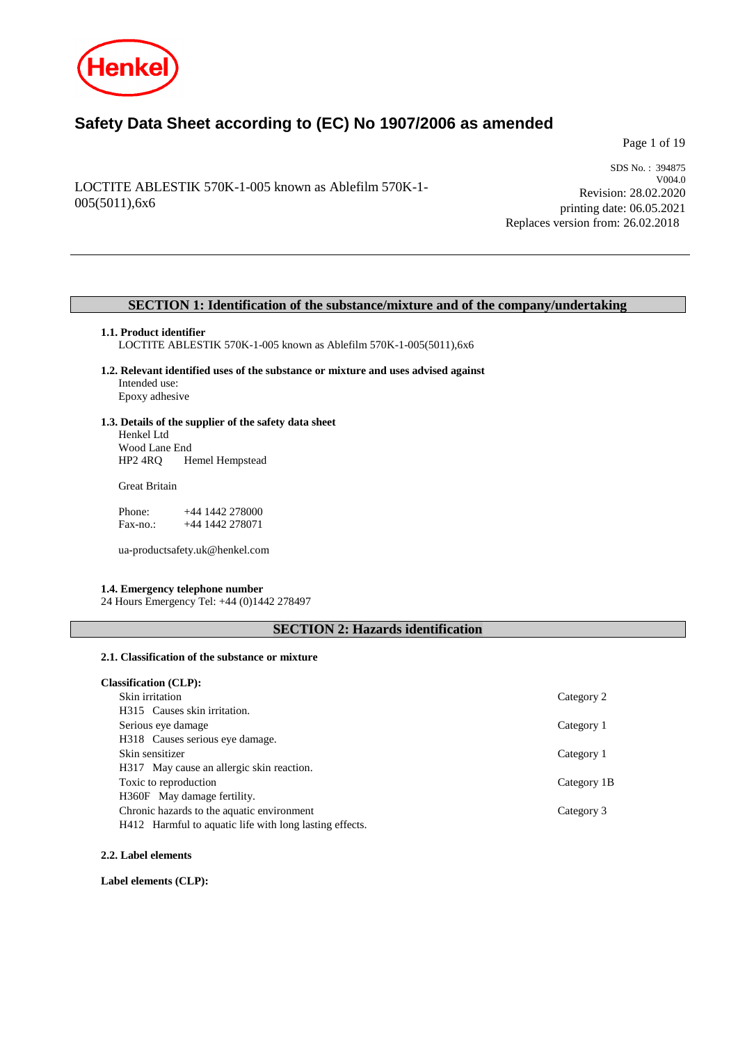

# **Safety Data Sheet according to (EC) No 1907/2006 as amended**

Page 1 of 19

## LOCTITE ABLESTIK 570K-1-005 known as Ablefilm 570K-1- 005(5011),6x6

SDS No. : 394875 V004.0 Revision: 28.02.2020 printing date: 06.05.2021 Replaces version from: 26.02.2018

## **SECTION 1: Identification of the substance/mixture and of the company/undertaking**

### **1.1. Product identifier**

LOCTITE ABLESTIK 570K-1-005 known as Ablefilm 570K-1-005(5011),6x6

**1.2. Relevant identified uses of the substance or mixture and uses advised against** Intended use: Epoxy adhesive

### **1.3. Details of the supplier of the safety data sheet** Henkel Ltd

Wood Lane End<br>HP2 4RQ H Hemel Hempstead

Great Britain

Phone: +44 1442 278000<br>Fax-no.: +44 1442 278071 +44 1442 278071

ua-productsafety.uk@henkel.com

### **1.4. Emergency telephone number**

24 Hours Emergency Tel: +44 (0)1442 278497

## **SECTION 2: Hazards identification**

## **2.1. Classification of the substance or mixture**

| <b>Classification (CLP):</b>                            |             |
|---------------------------------------------------------|-------------|
| Skin irritation                                         | Category 2  |
| H315 Causes skin irritation.                            |             |
| Serious eye damage                                      | Category 1  |
| H318 Causes serious eye damage.                         |             |
| Skin sensitizer                                         | Category 1  |
| H317 May cause an allergic skin reaction.               |             |
| Toxic to reproduction                                   | Category 1B |
| H360F May damage fertility.                             |             |
| Chronic hazards to the aquatic environment              | Category 3  |
| H412 Harmful to aquatic life with long lasting effects. |             |

### **2.2. Label elements**

**Label elements (CLP):**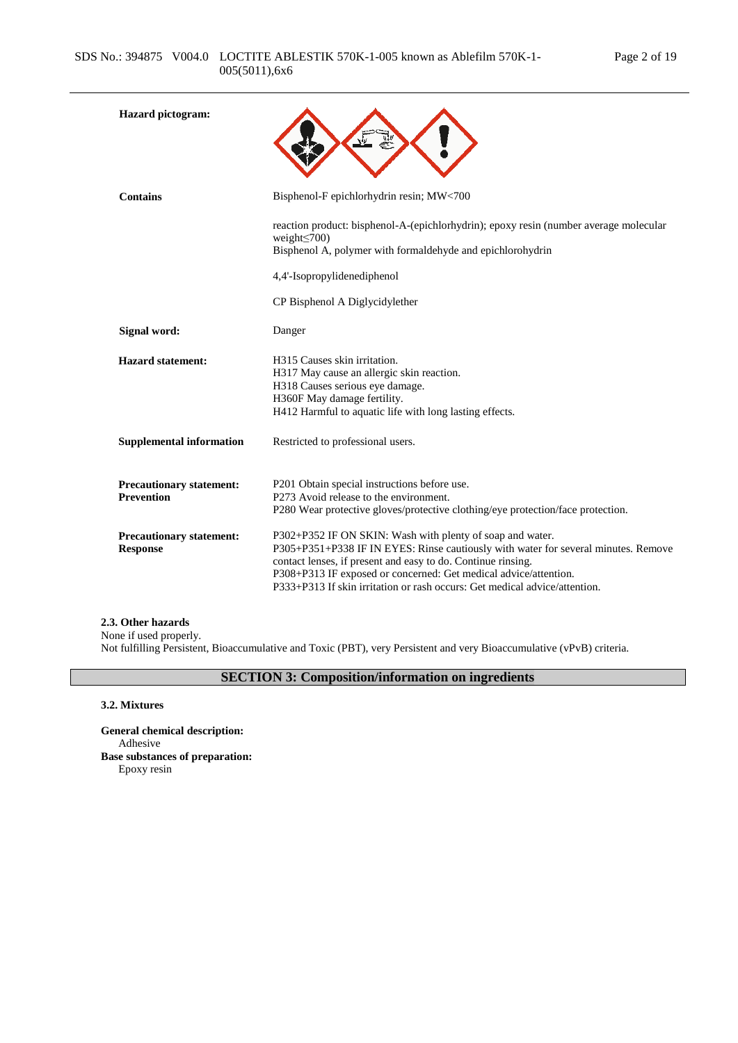| <b>Hazard</b> pictogram:                             |                                                                                                                                                                                                                                                                                                                                                                   |
|------------------------------------------------------|-------------------------------------------------------------------------------------------------------------------------------------------------------------------------------------------------------------------------------------------------------------------------------------------------------------------------------------------------------------------|
| <b>Contains</b>                                      | Bisphenol-F epichlorhydrin resin; MW<700                                                                                                                                                                                                                                                                                                                          |
|                                                      | reaction product: bisphenol-A-(epichlorhydrin); epoxy resin (number average molecular<br>weight $\leq$ 700)<br>Bisphenol A, polymer with formaldehyde and epichlorohydrin<br>4,4'-Isopropylidenediphenol                                                                                                                                                          |
|                                                      | CP Bisphenol A Diglycidylether                                                                                                                                                                                                                                                                                                                                    |
| <b>Signal word:</b>                                  | Danger                                                                                                                                                                                                                                                                                                                                                            |
| <b>Hazard statement:</b>                             | H315 Causes skin irritation.<br>H317 May cause an allergic skin reaction.<br>H318 Causes serious eye damage.<br>H360F May damage fertility.<br>H412 Harmful to aquatic life with long lasting effects.                                                                                                                                                            |
| <b>Supplemental information</b>                      | Restricted to professional users.                                                                                                                                                                                                                                                                                                                                 |
| <b>Precautionary statement:</b><br><b>Prevention</b> | P201 Obtain special instructions before use.<br>P273 Avoid release to the environment.<br>P280 Wear protective gloves/protective clothing/eye protection/face protection.                                                                                                                                                                                         |
| <b>Precautionary statement:</b><br><b>Response</b>   | P302+P352 IF ON SKIN: Wash with plenty of soap and water.<br>P305+P351+P338 IF IN EYES: Rinse cautiously with water for several minutes. Remove<br>contact lenses, if present and easy to do. Continue rinsing.<br>P308+P313 IF exposed or concerned: Get medical advice/attention.<br>P333+P313 If skin irritation or rash occurs: Get medical advice/attention. |

### **2.3. Other hazards**

None if used properly. Not fulfilling Persistent, Bioaccumulative and Toxic (PBT), very Persistent and very Bioaccumulative (vPvB) criteria.

# **SECTION 3: Composition/information on ingredients**

### **3.2. Mixtures**

**General chemical description:** Adhesive **Base substances of preparation:** Epoxy resin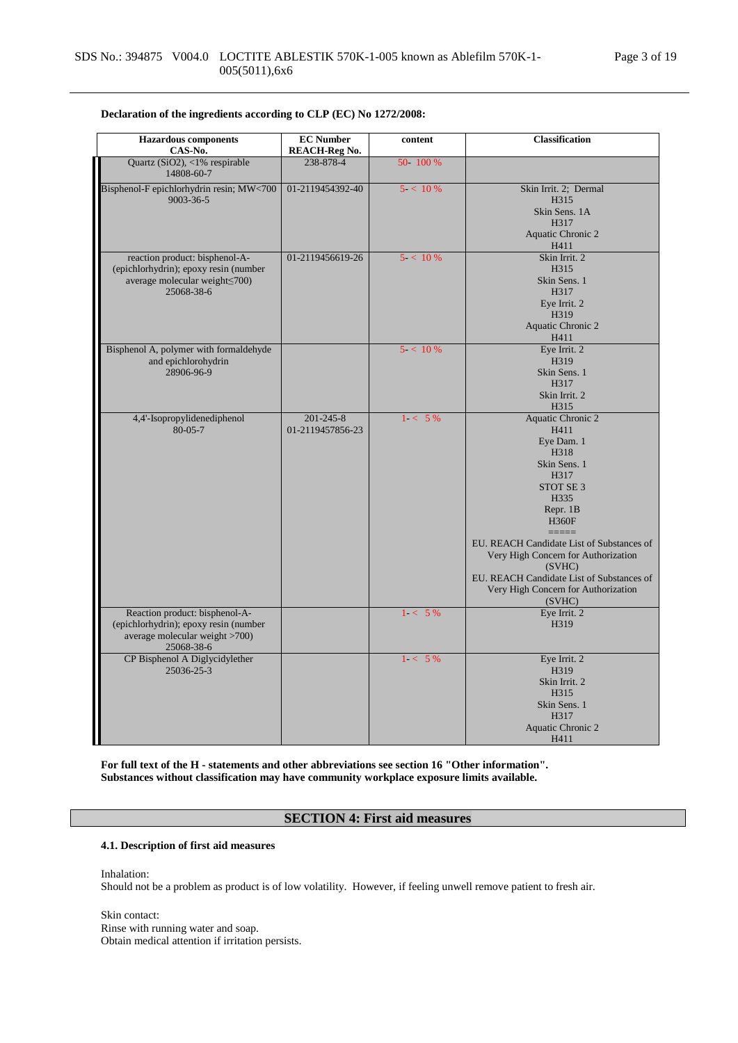| <b>Hazardous</b> components<br>CAS-No.       | <b>EC Number</b><br><b>REACH-Reg No.</b> | content    | <b>Classification</b>                               |
|----------------------------------------------|------------------------------------------|------------|-----------------------------------------------------|
| Quartz (SiO2), <1% respirable                | 238-878-4                                | 50 100 %   |                                                     |
| 14808-60-7                                   |                                          |            |                                                     |
| Bisphenol-F epichlorhydrin resin; MW<700     | 01-2119454392-40                         | 5 < 10%    | Skin Irrit. 2; Dermal                               |
| 9003-36-5                                    |                                          |            | H315                                                |
|                                              |                                          |            | Skin Sens. 1A                                       |
|                                              |                                          |            | H317                                                |
|                                              |                                          |            | Aquatic Chronic 2                                   |
| reaction product: bisphenol-A-               | 01-2119456619-26                         | $5 < 10\%$ | H411<br>Skin Irrit. 2                               |
| (epichlorhydrin); epoxy resin (number        |                                          |            | H315                                                |
| average molecular weight <a></a> 00)         |                                          |            | Skin Sens. 1                                        |
| 25068-38-6                                   |                                          |            | H317                                                |
|                                              |                                          |            | Eye Irrit. 2                                        |
|                                              |                                          |            | H319                                                |
|                                              |                                          |            | Aquatic Chronic 2                                   |
|                                              |                                          |            | H411                                                |
| Bisphenol A, polymer with formaldehyde       |                                          | $5 < 10\%$ | Eye Irrit. 2                                        |
| and epichlorohydrin                          |                                          |            | H319                                                |
| 28906-96-9                                   |                                          |            | Skin Sens. 1                                        |
|                                              |                                          |            | H317                                                |
|                                              |                                          |            | Skin Irrit. 2                                       |
|                                              | $201 - 245 - 8$                          | $1 - 5\%$  | H315                                                |
| 4,4'-Isopropylidenediphenol<br>$80 - 05 - 7$ | 01-2119457856-23                         |            | <b>Aquatic Chronic 2</b><br>H411                    |
|                                              |                                          |            | Eye Dam. 1                                          |
|                                              |                                          |            | H318                                                |
|                                              |                                          |            | Skin Sens. 1                                        |
|                                              |                                          |            | H317                                                |
|                                              |                                          |            | STOT SE <sub>3</sub>                                |
|                                              |                                          |            | H335                                                |
|                                              |                                          |            | Repr. 1B                                            |
|                                              |                                          |            | <b>H360F</b>                                        |
|                                              |                                          |            | $=====$                                             |
|                                              |                                          |            | EU. REACH Candidate List of Substances of           |
|                                              |                                          |            | Very High Concern for Authorization                 |
|                                              |                                          |            | (SVHC)<br>EU. REACH Candidate List of Substances of |
|                                              |                                          |            | Very High Concern for Authorization                 |
|                                              |                                          |            | (SVHC)                                              |
| Reaction product: bisphenol-A-               |                                          | $1 - 5\%$  | Eye Irrit. 2                                        |
| (epichlorhydrin); epoxy resin (number        |                                          |            | H319                                                |
| average molecular weight >700)               |                                          |            |                                                     |
| 25068-38-6                                   |                                          |            |                                                     |
| CP Bisphenol A Diglycidylether               |                                          | $1 - 5\%$  | Eye Irrit. 2                                        |
| 25036-25-3                                   |                                          |            | H319                                                |
|                                              |                                          |            | Skin Irrit. 2                                       |
|                                              |                                          |            | H315                                                |
|                                              |                                          |            | Skin Sens. 1                                        |
|                                              |                                          |            | H317                                                |
|                                              |                                          |            | Aquatic Chronic 2<br>H411                           |
|                                              |                                          |            |                                                     |

**Declaration of the ingredients according to CLP (EC) No 1272/2008:**

**For full text of the H - statements and other abbreviations see section 16 "Other information". Substances without classification may have community workplace exposure limits available.**

## **SECTION 4: First aid measures**

### **4.1. Description of first aid measures**

Inhalation:

Should not be a problem as product is of low volatility. However, if feeling unwell remove patient to fresh air.

Skin contact: Rinse with running water and soap. Obtain medical attention if irritation persists.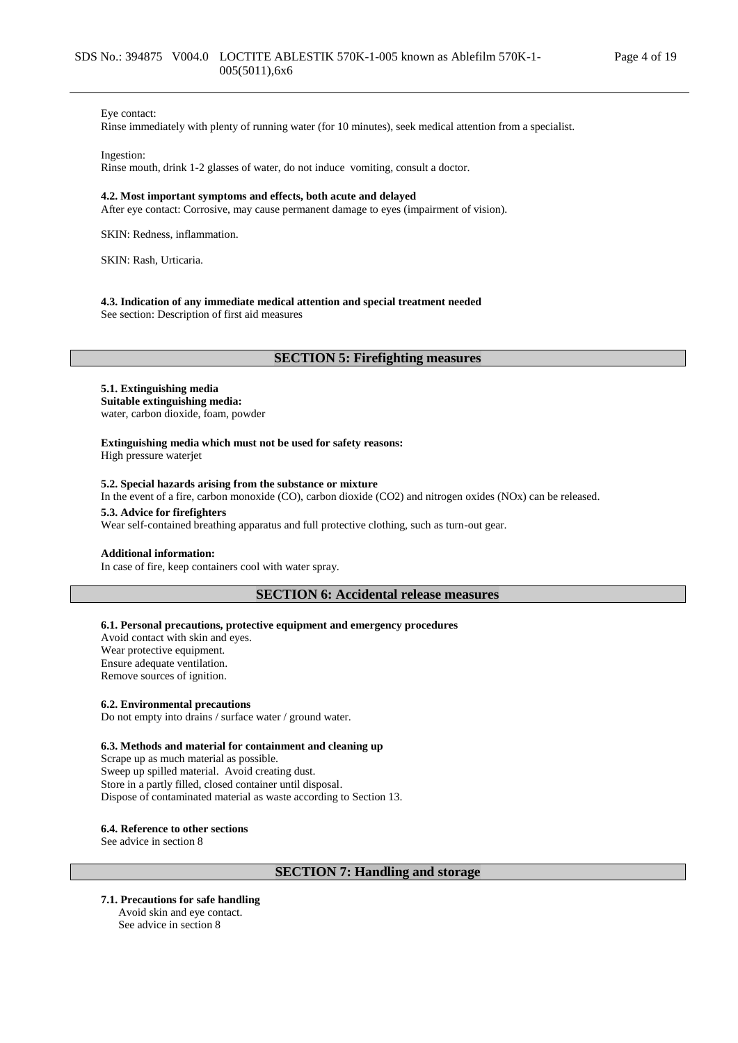#### Eye contact:

Rinse immediately with plenty of running water (for 10 minutes), seek medical attention from a specialist.

Ingestion:

Rinse mouth, drink 1-2 glasses of water, do not induce vomiting, consult a doctor.

#### **4.2. Most important symptoms and effects, both acute and delayed**

After eye contact: Corrosive, may cause permanent damage to eyes (impairment of vision).

SKIN: Redness, inflammation.

SKIN: Rash, Urticaria.

#### **4.3. Indication of any immediate medical attention and special treatment needed**

See section: Description of first aid measures

### **SECTION 5: Firefighting measures**

### **5.1. Extinguishing media Suitable extinguishing media:**

water, carbon dioxide, foam, powder

**Extinguishing media which must not be used for safety reasons:** High pressure waterjet

#### **5.2. Special hazards arising from the substance or mixture**

In the event of a fire, carbon monoxide (CO), carbon dioxide (CO2) and nitrogen oxides (NOx) can be released.

#### **5.3. Advice for firefighters**

Wear self-contained breathing apparatus and full protective clothing, such as turn-out gear.

### **Additional information:**

In case of fire, keep containers cool with water spray.

### **SECTION 6: Accidental release measures**

#### **6.1. Personal precautions, protective equipment and emergency procedures**

Avoid contact with skin and eyes. Wear protective equipment. Ensure adequate ventilation. Remove sources of ignition.

#### **6.2. Environmental precautions**

Do not empty into drains / surface water / ground water.

#### **6.3. Methods and material for containment and cleaning up**

Scrape up as much material as possible. Sweep up spilled material. Avoid creating dust. Store in a partly filled, closed container until disposal. Dispose of contaminated material as waste according to Section 13.

#### **6.4. Reference to other sections**

See advice in section 8

### **SECTION 7: Handling and storage**

**7.1. Precautions for safe handling** Avoid skin and eye contact. See advice in section 8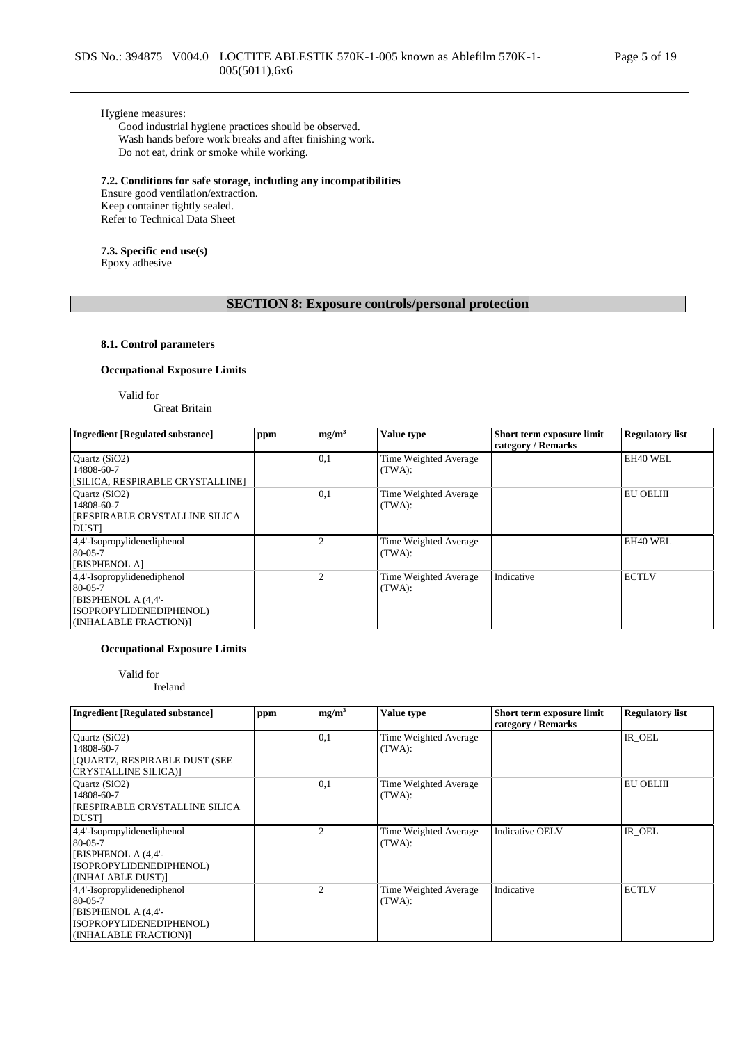### Hygiene measures:

Good industrial hygiene practices should be observed. Wash hands before work breaks and after finishing work. Do not eat, drink or smoke while working.

### **7.2. Conditions for safe storage, including any incompatibilities**

Ensure good ventilation/extraction. Keep container tightly sealed. Refer to Technical Data Sheet

### **7.3. Specific end use(s)**

Epoxy adhesive

## **SECTION 8: Exposure controls/personal protection**

### **8.1. Control parameters**

### **Occupational Exposure Limits**

Valid for

Great Britain

| <b>Ingredient [Regulated substance]</b>                                                                                  | ppm | mg/m <sup>3</sup> | Value type                      | Short term exposure limit<br>category / Remarks | <b>Regulatory list</b> |
|--------------------------------------------------------------------------------------------------------------------------|-----|-------------------|---------------------------------|-------------------------------------------------|------------------------|
| Quartz (SiO2)<br>14808-60-7<br>[SILICA, RESPIRABLE CRYSTALLINE]                                                          |     | 0,1               | Time Weighted Average<br>(TWA): |                                                 | EH40 WEL               |
| Quartz (SiO2)<br>14808-60-7<br>[RESPIRABLE CRYSTALLINE SILICA<br><b>DUST</b>                                             |     | 0,1               | Time Weighted Average<br>(TWA): |                                                 | EU OELIII              |
| 4,4'-Isopropylidenediphenol<br>$80 - 05 - 7$<br>[BISPHENOL A]                                                            |     |                   | Time Weighted Average<br>(TWA): |                                                 | EH40 WEL               |
| 4,4'-Isopropylidenediphenol<br>$80 - 0.5 - 7$<br>[BISPHENOL A (4,4'-<br>ISOPROPYLIDENEDIPHENOL)<br>(INHALABLE FRACTION)] |     |                   | Time Weighted Average<br>(TWA): | Indicative                                      | <b>ECTLV</b>           |

### **Occupational Exposure Limits**

Valid for

Ireland

| <b>Ingredient [Regulated substance]</b>                                                                                 | ppm | mg/m <sup>3</sup> | Value type                      | Short term exposure limit<br>category / Remarks | <b>Regulatory list</b> |
|-------------------------------------------------------------------------------------------------------------------------|-----|-------------------|---------------------------------|-------------------------------------------------|------------------------|
| Quartz (SiO2)<br>14808-60-7<br><b>JOUARTZ, RESPIRABLE DUST (SEE</b><br>CRYSTALLINE SILICA)]                             |     | 0.1               | Time Weighted Average<br>(TWA): |                                                 | IR OEL                 |
| Ouartz $(SiO2)$<br>14808-60-7<br>[RESPIRABLE CRYSTALLINE SILICA]<br><b>DUST</b>                                         |     | 0,1               | Time Weighted Average<br>(TWA): |                                                 | EU OELIII              |
| 4,4'-Isopropylidenediphenol<br>$80 - 0.5 - 7$<br>[BISPHENOL A (4,4'-<br>ISOPROPYLIDENEDIPHENOL)<br>(INHALABLE DUST)]    |     |                   | Time Weighted Average<br>(TWA): | <b>Indicative OELV</b>                          | IR OEL                 |
| 4,4'-Isopropylidenediphenol<br>$80 - 05 - 7$<br>[BISPHENOL A (4,4'-<br>ISOPROPYLIDENEDIPHENOL)<br>(INHALABLE FRACTION)] |     |                   | Time Weighted Average<br>(TWA): | Indicative                                      | <b>ECTLV</b>           |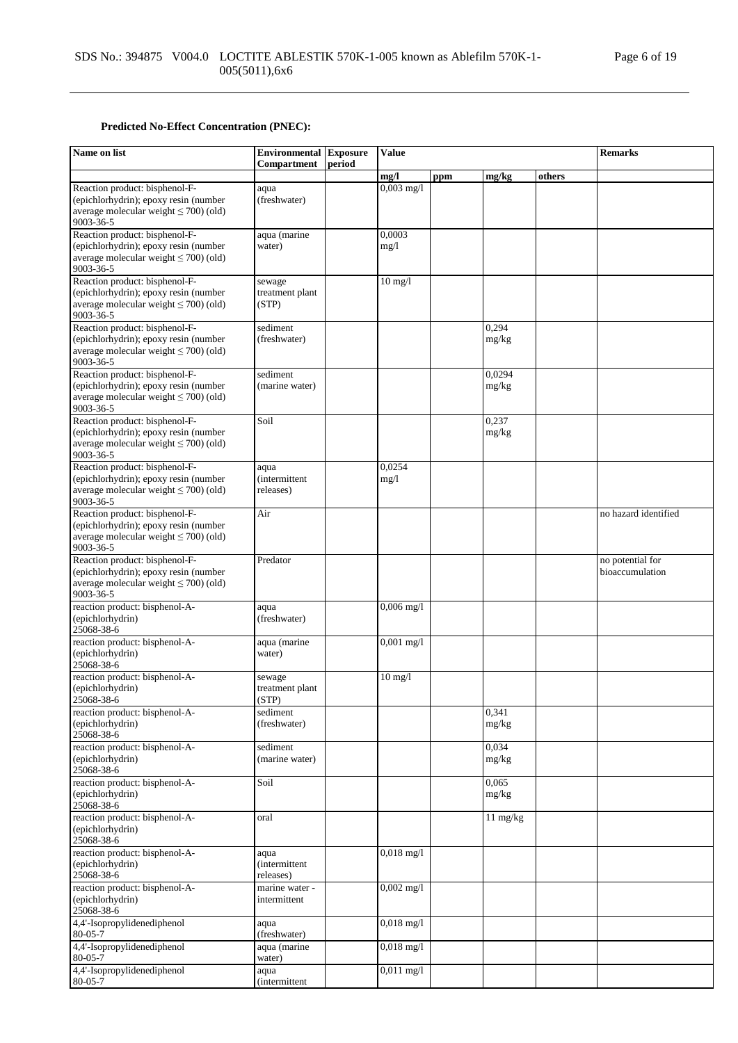## **Predicted No-Effect Concentration (PNEC):**

| Name on list                                                                                                                        | <b>Environmental Exposure</b><br>Compartment | period | <b>Value</b>         |     |                 |        | <b>Remarks</b>                      |
|-------------------------------------------------------------------------------------------------------------------------------------|----------------------------------------------|--------|----------------------|-----|-----------------|--------|-------------------------------------|
|                                                                                                                                     |                                              |        | mg/l                 | ppm | mg/kg           | others |                                     |
| Reaction product: bisphenol-F-<br>(epichlorhydrin); epoxy resin (number<br>average molecular weight $\leq 700$ ) (old)<br>9003-36-5 | aqua<br>(freshwater)                         |        | $0,003$ mg/l         |     |                 |        |                                     |
| Reaction product: bisphenol-F-<br>(epichlorhydrin); epoxy resin (number<br>average molecular weight $\leq$ 700) (old)<br>9003-36-5  | aqua (marine<br>water)                       |        | 0,0003<br>mg/1       |     |                 |        |                                     |
| Reaction product: bisphenol-F-<br>(epichlorhydrin); epoxy resin (number<br>average molecular weight $\leq$ 700) (old)<br>9003-36-5  | sewage<br>treatment plant<br>(STP)           |        | $10 \text{ mg}/1$    |     |                 |        |                                     |
| Reaction product: bisphenol-F-<br>(epichlorhydrin); epoxy resin (number<br>average molecular weight $\leq$ 700) (old)<br>9003-36-5  | sediment<br>(freshwater)                     |        |                      |     | 0,294<br>mg/kg  |        |                                     |
| Reaction product: bisphenol-F-<br>(epichlorhydrin); epoxy resin (number<br>average molecular weight $\leq$ 700) (old)<br>9003-36-5  | sediment<br>(marine water)                   |        |                      |     | 0,0294<br>mg/kg |        |                                     |
| Reaction product: bisphenol-F-<br>(epichlorhydrin); epoxy resin (number<br>average molecular weight $\leq$ 700) (old)<br>9003-36-5  | Soil                                         |        |                      |     | 0,237<br>mg/kg  |        |                                     |
| Reaction product: bisphenol-F-<br>(epichlorhydrin); epoxy resin (number<br>average molecular weight $\leq$ 700) (old)<br>9003-36-5  | aqua<br><i>(intermittent)</i><br>releases)   |        | 0,0254<br>mg/1       |     |                 |        |                                     |
| Reaction product: bisphenol-F-<br>(epichlorhydrin); epoxy resin (number<br>average molecular weight $\leq$ 700) (old)<br>9003-36-5  | Air                                          |        |                      |     |                 |        | no hazard identified                |
| Reaction product: bisphenol-F-<br>(epichlorhydrin); epoxy resin (number<br>average molecular weight $\leq 700$ ) (old)<br>9003-36-5 | Predator                                     |        |                      |     |                 |        | no potential for<br>bioaccumulation |
| reaction product: bisphenol-A-<br>(epichlorhydrin)<br>25068-38-6                                                                    | aqua<br>(freshwater)                         |        | $0,006$ mg/l         |     |                 |        |                                     |
| reaction product: bisphenol-A-<br>(epichlorhydrin)<br>25068-38-6                                                                    | aqua (marine<br>water)                       |        | $0,001$ mg/l         |     |                 |        |                                     |
| reaction product: bisphenol-A-<br>(epichlorhydrin)<br>25068-38-6                                                                    | sewage<br>treatment plant<br>(STP)           |        | $10 \text{ mg}/1$    |     |                 |        |                                     |
| reaction product: bisphenol-A-<br>(epichlorhydrin)<br>25068-38-6                                                                    | sediment<br>(freshwater)                     |        |                      |     | 0,341<br>mg/kg  |        |                                     |
| reaction product: bisphenol-A-<br>(epichlorhydrin)<br>25068-38-6                                                                    | sediment<br>(marine water)                   |        |                      |     | 0,034<br>mg/kg  |        |                                     |
| reaction product: bisphenol-A-<br>(epichlorhydrin)<br>25068-38-6                                                                    | Soil                                         |        |                      |     | 0,065<br>mg/kg  |        |                                     |
| reaction product: bisphenol-A-<br>(epichlorhydrin)<br>25068-38-6                                                                    | oral                                         |        |                      |     | 11 mg/kg        |        |                                     |
| reaction product: bisphenol-A-<br>(epichlorhydrin)<br>25068-38-6                                                                    | aqua<br><i>(intermittent)</i><br>releases)   |        | $0,018$ mg/l         |     |                 |        |                                     |
| reaction product: bisphenol-A-<br>(epichlorhydrin)<br>25068-38-6                                                                    | marine water -<br>intermittent               |        | $0,002$ mg/l         |     |                 |        |                                     |
| 4,4'-Isopropylidenediphenol<br>80-05-7                                                                                              | aqua<br>(freshwater)                         |        | $0,018$ mg/l         |     |                 |        |                                     |
| 4,4'-Isopropylidenediphenol<br>$80 - 05 - 7$                                                                                        | aqua (marine<br>water)                       |        | $0,018 \text{ mg}/1$ |     |                 |        |                                     |
| 4,4'-Isopropylidenediphenol<br>80-05-7                                                                                              | aqua<br><i>(intermittent)</i>                |        | $0,011$ mg/l         |     |                 |        |                                     |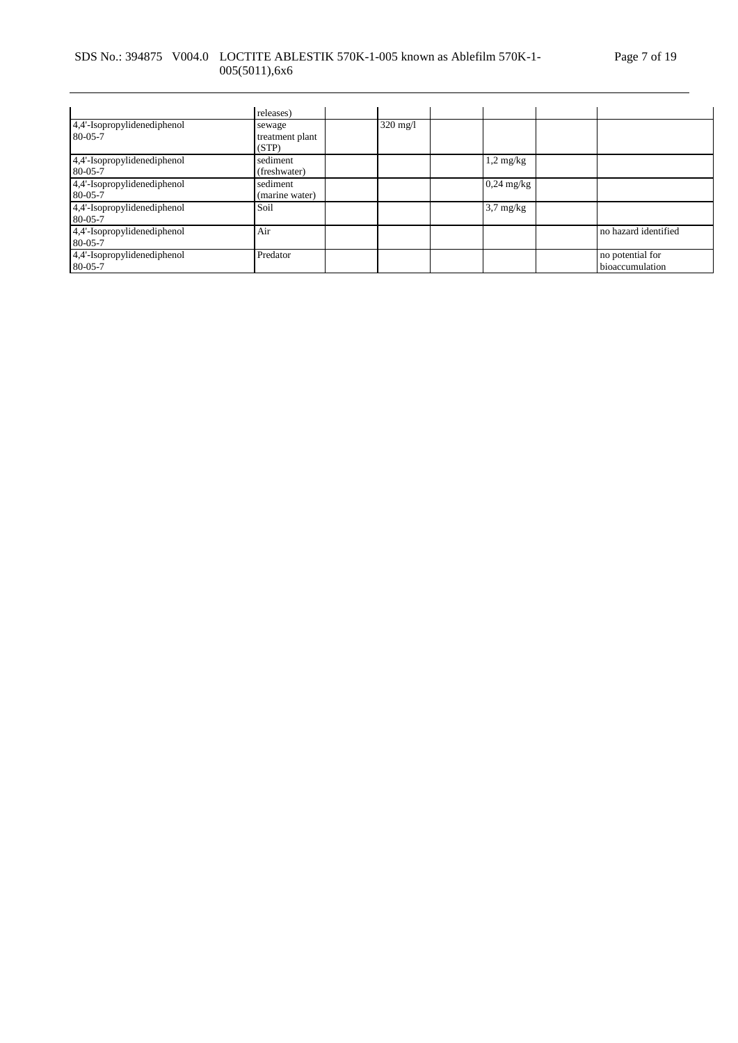## SDS No.: 394875 V004.0 LOCTITE ABLESTIK 570K-1-005 known as Ablefilm 570K-1- 005(5011),6x6

|                                              | releases)                          |                    |                     |                                     |
|----------------------------------------------|------------------------------------|--------------------|---------------------|-------------------------------------|
| 4,4'-Isopropylidenediphenol<br>$80 - 05 - 7$ | sewage<br>treatment plant<br>(STP) | $320 \text{ mg}/1$ |                     |                                     |
| 4,4'-Isopropylidenediphenol<br>$80 - 05 - 7$ | sediment<br>(freshwater)           |                    | $1,2 \text{ mg/kg}$ |                                     |
| 4,4'-Isopropylidenediphenol<br>$80 - 05 - 7$ | sediment<br>(marine water)         |                    | $0,24$ mg/kg        |                                     |
| 4,4'-Isopropylidenediphenol<br>$80 - 05 - 7$ | Soil                               |                    | $3.7 \text{ mg/kg}$ |                                     |
| 4,4'-Isopropylidenediphenol<br>$80 - 05 - 7$ | Air                                |                    |                     | no hazard identified                |
| 4,4'-Isopropylidenediphenol<br>80-05-7       | Predator                           |                    |                     | no potential for<br>bioaccumulation |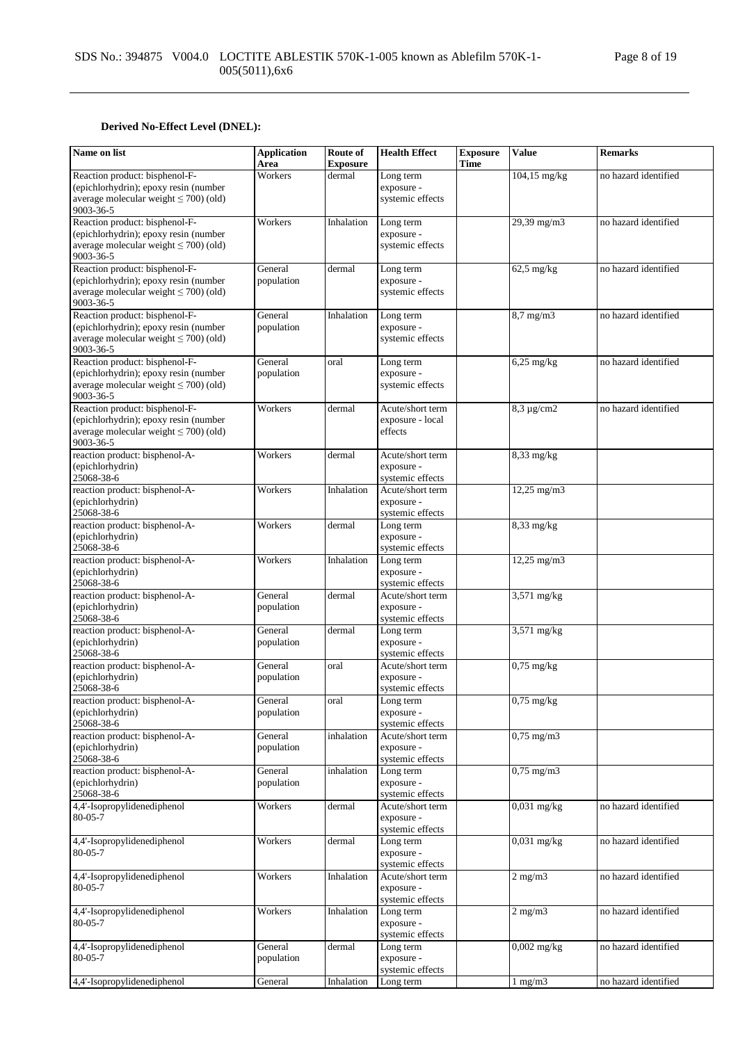## **Derived No-Effect Level (DNEL):**

| Name on list                                                                                                                        | <b>Application</b><br>Area | Route of<br><b>Exposure</b> | <b>Health Effect</b>                               | <b>Exposure</b><br>Time | <b>Value</b>           | <b>Remarks</b>       |
|-------------------------------------------------------------------------------------------------------------------------------------|----------------------------|-----------------------------|----------------------------------------------------|-------------------------|------------------------|----------------------|
| Reaction product: bisphenol-F-<br>(epichlorhydrin); epoxy resin (number<br>average molecular weight $\leq 700$ ) (old)<br>9003-36-5 | Workers                    | dermal                      | Long term<br>exposure -<br>systemic effects        |                         | 104,15 mg/kg           | no hazard identified |
| Reaction product: bisphenol-F-<br>(epichlorhydrin); epoxy resin (number<br>average molecular weight $\leq$ 700) (old)<br>9003-36-5  | Workers                    | Inhalation                  | Long term<br>exposure -<br>systemic effects        |                         | 29,39 mg/m3            | no hazard identified |
| Reaction product: bisphenol-F-<br>(epichlorhydrin); epoxy resin (number<br>average molecular weight $\leq$ 700) (old)<br>9003-36-5  | General<br>population      | dermal                      | Long term<br>exposure -<br>systemic effects        |                         | $62,5$ mg/kg           | no hazard identified |
| Reaction product: bisphenol-F-<br>(epichlorhydrin); epoxy resin (number<br>average molecular weight $\leq$ 700) (old)<br>9003-36-5  | General<br>population      | Inhalation                  | Long term<br>exposure -<br>systemic effects        |                         | 8,7 mg/m3              | no hazard identified |
| Reaction product: bisphenol-F-<br>(epichlorhydrin); epoxy resin (number<br>average molecular weight $\leq$ 700) (old)<br>9003-36-5  | General<br>population      | oral                        | Long term<br>exposure -<br>systemic effects        |                         | $6,25$ mg/kg           | no hazard identified |
| Reaction product: bisphenol-F-<br>(epichlorhydrin); epoxy resin (number<br>average molecular weight $\leq 700$ ) (old)<br>9003-36-5 | Workers                    | dermal                      | Acute/short term<br>exposure - local<br>effects    |                         | $8,3 \mu g/cm2$        | no hazard identified |
| reaction product: bisphenol-A-<br>(epichlorhydrin)<br>25068-38-6                                                                    | Workers                    | dermal                      | Acute/short term<br>exposure -<br>systemic effects |                         | 8,33 mg/kg             |                      |
| reaction product: bisphenol-A-<br>(epichlorhydrin)<br>25068-38-6                                                                    | Workers                    | Inhalation                  | Acute/short term<br>exposure -<br>systemic effects |                         | $12,25 \text{ mg/m}$ 3 |                      |
| reaction product: bisphenol-A-<br>(epichlorhydrin)<br>25068-38-6                                                                    | Workers                    | dermal                      | Long term<br>exposure -<br>systemic effects        |                         | $8,33$ mg/kg           |                      |
| reaction product: bisphenol-A-<br>(epichlorhydrin)<br>25068-38-6                                                                    | Workers                    | Inhalation                  | Long term<br>exposure -<br>systemic effects        |                         | $12,25$ mg/m $3$       |                      |
| reaction product: bisphenol-A-<br>(epichlorhydrin)<br>25068-38-6                                                                    | General<br>population      | dermal                      | Acute/short term<br>exposure -<br>systemic effects |                         | 3,571 mg/kg            |                      |
| reaction product: bisphenol-A-<br>(epichlorhydrin)<br>25068-38-6                                                                    | General<br>population      | dermal                      | Long term<br>exposure -<br>systemic effects        |                         | $3,571$ mg/kg          |                      |
| reaction product: bisphenol-A-<br>(epichlorhydrin)<br>25068-38-6                                                                    | General<br>population      | oral                        | Acute/short term<br>exposure -<br>systemic effects |                         | $0.75$ mg/kg           |                      |
| reaction product: bisphenol-A-<br>(epichlorhydrin)<br>25068-38-6                                                                    | General<br>population      | oral                        | Long term<br>exposure -<br>systemic effects        |                         | $0,75$ mg/kg           |                      |
| reaction product: bisphenol-A-<br>(epichlorhydrin)<br>25068-38-6                                                                    | General<br>population      | inhalation                  | Acute/short term<br>exposure -<br>systemic effects |                         | $0,75$ mg/m $3$        |                      |
| reaction product: bisphenol-A-<br>(epichlorhydrin)<br>25068-38-6                                                                    | General<br>population      | inhalation                  | Long term<br>exposure -<br>systemic effects        |                         | $0,75$ mg/m $3$        |                      |
| 4,4'-Isopropylidenediphenol<br>$80 - 05 - 7$                                                                                        | Workers                    | dermal                      | Acute/short term<br>exposure -<br>systemic effects |                         | $0,031$ mg/kg          | no hazard identified |
| 4,4'-Isopropylidenediphenol<br>$80 - 05 - 7$                                                                                        | Workers                    | dermal                      | Long term<br>exposure -<br>systemic effects        |                         | $0,031$ mg/kg          | no hazard identified |
| 4,4'-Isopropylidenediphenol<br>$80 - 05 - 7$                                                                                        | Workers                    | Inhalation                  | Acute/short term<br>exposure -<br>systemic effects |                         | $2$ mg/m $3$           | no hazard identified |
| 4,4'-Isopropylidenediphenol<br>$80 - 05 - 7$                                                                                        | Workers                    | Inhalation                  | Long term<br>exposure -<br>systemic effects        |                         | $2$ mg/m $3$           | no hazard identified |
| 4,4'-Isopropylidenediphenol<br>$80 - 05 - 7$                                                                                        | General<br>population      | dermal                      | Long term<br>exposure -<br>systemic effects        |                         | $0,002$ mg/kg          | no hazard identified |
| 4,4'-Isopropylidenediphenol                                                                                                         | General                    | Inhalation                  | Long term                                          |                         | $1$ mg/m $3$           | no hazard identified |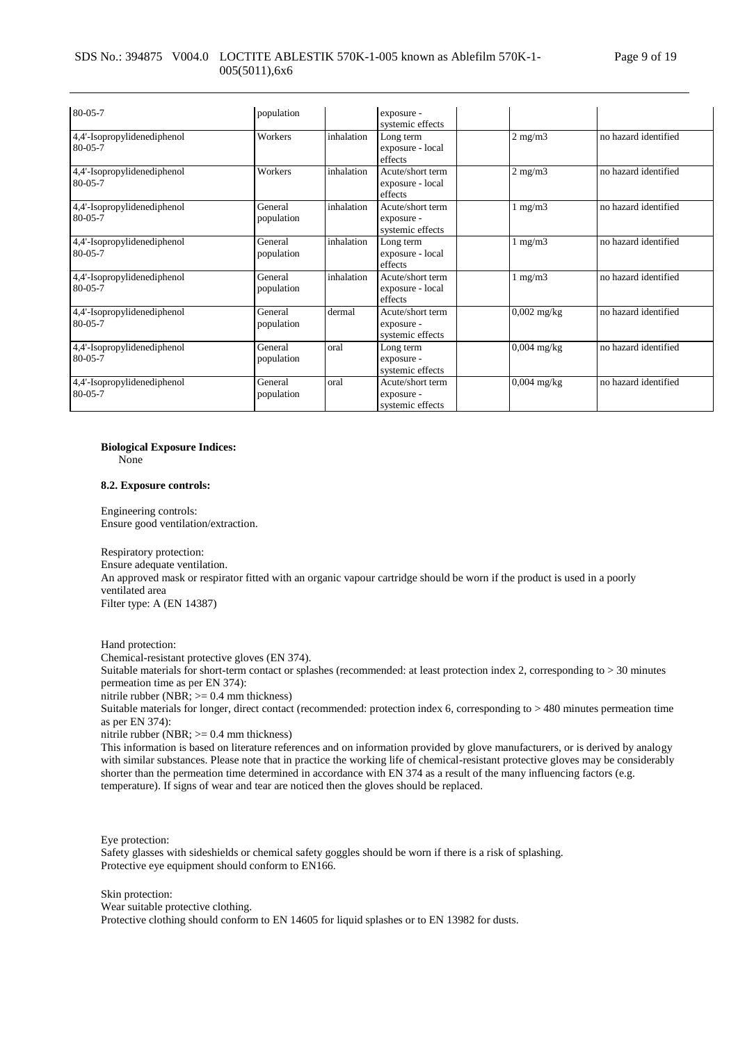### SDS No.: 394875 V004.0 LOCTITE ABLESTIK 570K-1-005 known as Ablefilm 570K-1- 005(5011),6x6

| 80-05-7                                      | population            |            | exposure -<br>systemic effects                     |               |                      |
|----------------------------------------------|-----------------------|------------|----------------------------------------------------|---------------|----------------------|
| 4,4'-Isopropylidenediphenol<br>$80 - 05 - 7$ | Workers               | inhalation | Long term<br>exposure - local<br>effects           | $2$ mg/m $3$  | no hazard identified |
| 4,4'-Isopropylidenediphenol<br>$80 - 05 - 7$ | Workers               | inhalation | Acute/short term<br>exposure - local<br>effects    | $2$ mg/m $3$  | no hazard identified |
| 4,4'-Isopropylidenediphenol<br>$80 - 05 - 7$ | General<br>population | inhalation | Acute/short term<br>exposure -<br>systemic effects | $1$ mg/m $3$  | no hazard identified |
| 4,4'-Isopropylidenediphenol<br>$80 - 05 - 7$ | General<br>population | inhalation | Long term<br>exposure - local<br>effects           | $1$ mg/m $3$  | no hazard identified |
| 4,4'-Isopropylidenediphenol<br>$80 - 05 - 7$ | General<br>population | inhalation | Acute/short term<br>exposure - local<br>effects    | $1$ mg/m $3$  | no hazard identified |
| 4,4'-Isopropylidenediphenol<br>$80 - 05 - 7$ | General<br>population | dermal     | Acute/short term<br>exposure -<br>systemic effects | $0.002$ mg/kg | no hazard identified |
| 4,4'-Isopropylidenediphenol<br>$80 - 05 - 7$ | General<br>population | oral       | Long term<br>exposure -<br>systemic effects        | $0,004$ mg/kg | no hazard identified |
| 4,4'-Isopropylidenediphenol<br>$80 - 05 - 7$ | General<br>population | oral       | Acute/short term<br>exposure -<br>systemic effects | $0.004$ mg/kg | no hazard identified |

#### **Biological Exposure Indices:**

None

#### **8.2. Exposure controls:**

Engineering controls: Ensure good ventilation/extraction.

Respiratory protection: Ensure adequate ventilation. An approved mask or respirator fitted with an organic vapour cartridge should be worn if the product is used in a poorly ventilated area Filter type: A (EN 14387)

Hand protection:

Chemical-resistant protective gloves (EN 374).

Suitable materials for short-term contact or splashes (recommended: at least protection index 2, corresponding to > 30 minutes permeation time as per EN 374):

nitrile rubber (NBR; >= 0.4 mm thickness)

Suitable materials for longer, direct contact (recommended: protection index 6, corresponding to > 480 minutes permeation time as per EN 374):

nitrile rubber (NBR; >= 0.4 mm thickness)

This information is based on literature references and on information provided by glove manufacturers, or is derived by analogy with similar substances. Please note that in practice the working life of chemical-resistant protective gloves may be considerably shorter than the permeation time determined in accordance with EN 374 as a result of the many influencing factors (e.g. temperature). If signs of wear and tear are noticed then the gloves should be replaced.

Eye protection:

Safety glasses with sideshields or chemical safety goggles should be worn if there is a risk of splashing. Protective eye equipment should conform to EN166.

Skin protection:

Wear suitable protective clothing.

Protective clothing should conform to EN 14605 for liquid splashes or to EN 13982 for dusts.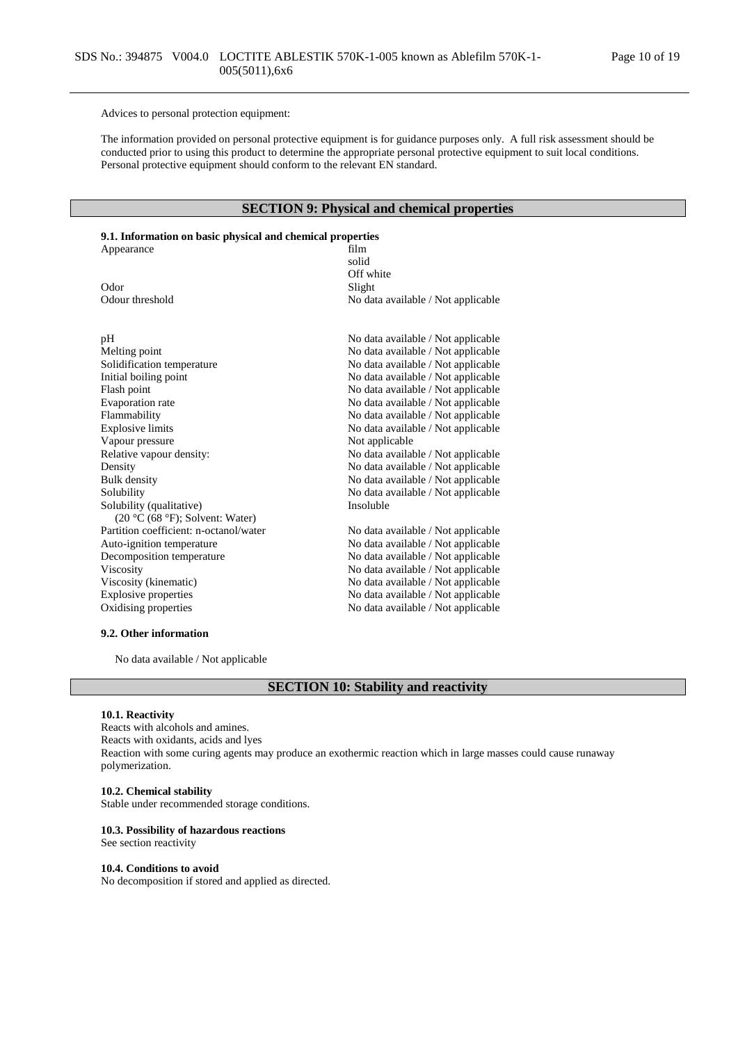Advices to personal protection equipment:

The information provided on personal protective equipment is for guidance purposes only. A full risk assessment should be conducted prior to using this product to determine the appropriate personal protective equipment to suit local conditions. Personal protective equipment should conform to the relevant EN standard.

## **SECTION 9: Physical and chemical properties**

## **9.1. Information on basic physical and chemical properties**

| Appearance                             | film                               |
|----------------------------------------|------------------------------------|
|                                        | solid                              |
|                                        | Off white                          |
| Odor                                   | Slight                             |
| Odour threshold                        | No data available / Not applicable |
|                                        |                                    |
| pH                                     | No data available / Not applicable |
| Melting point                          | No data available / Not applicable |
| Solidification temperature             | No data available / Not applicable |
| Initial boiling point                  | No data available / Not applicable |
| Flash point                            | No data available / Not applicable |
| Evaporation rate                       | No data available / Not applicable |
| Flammability                           | No data available / Not applicable |
| <b>Explosive limits</b>                | No data available / Not applicable |
| Vapour pressure                        | Not applicable                     |
| Relative vapour density:               | No data available / Not applicable |
| Density                                | No data available / Not applicable |
| <b>Bulk</b> density                    | No data available / Not applicable |
| Solubility                             | No data available / Not applicable |
| Solubility (qualitative)               | Insoluble                          |
| $(20 °C (68 °F))$ ; Solvent: Water)    |                                    |
| Partition coefficient: n-octanol/water | No data available / Not applicable |
| Auto-ignition temperature              | No data available / Not applicable |
| Decomposition temperature              | No data available / Not applicable |
| Viscosity                              | No data available / Not applicable |
| Viscosity (kinematic)                  | No data available / Not applicable |
| <b>Explosive properties</b>            | No data available / Not applicable |
| Oxidising properties                   | No data available / Not applicable |
|                                        |                                    |

### **9.2. Other information**

No data available / Not applicable

## **SECTION 10: Stability and reactivity**

### **10.1. Reactivity**

Reacts with alcohols and amines. Reacts with oxidants, acids and lyes Reaction with some curing agents may produce an exothermic reaction which in large masses could cause runaway polymerization.

### **10.2. Chemical stability**

Stable under recommended storage conditions.

#### **10.3. Possibility of hazardous reactions**

See section reactivity

#### **10.4. Conditions to avoid**

No decomposition if stored and applied as directed.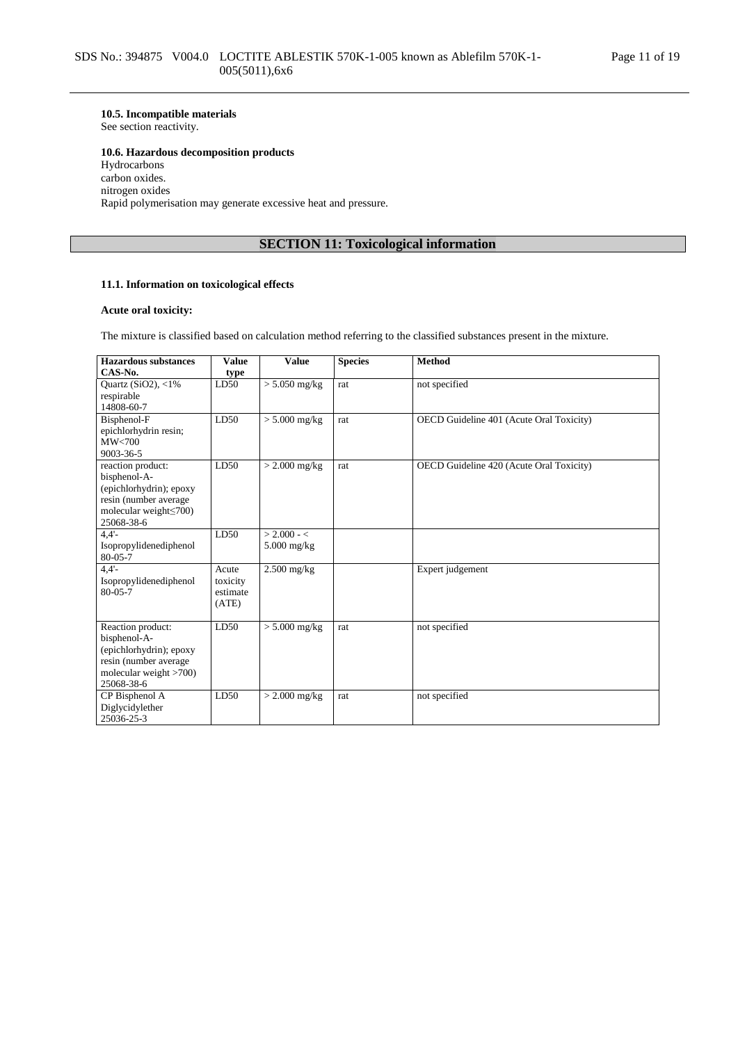# **10.5. Incompatible materials**

See section reactivity.

### **10.6. Hazardous decomposition products**

Hydrocarbons carbon oxides. nitrogen oxides Rapid polymerisation may generate excessive heat and pressure.

## **SECTION 11: Toxicological information**

### **11.1. Information on toxicological effects**

### **Acute oral toxicity:**

The mixture is classified based on calculation method referring to the classified substances present in the mixture.

| <b>Value</b> | <b>Value</b>                          | <b>Species</b>                                                                          | <b>Method</b>                            |
|--------------|---------------------------------------|-----------------------------------------------------------------------------------------|------------------------------------------|
| type         |                                       |                                                                                         |                                          |
| LD50         | $> 5.050$ mg/kg                       | rat                                                                                     | not specified                            |
|              |                                       |                                                                                         |                                          |
|              |                                       |                                                                                         |                                          |
|              |                                       | rat                                                                                     | OECD Guideline 401 (Acute Oral Toxicity) |
|              |                                       |                                                                                         |                                          |
|              |                                       |                                                                                         |                                          |
|              |                                       |                                                                                         |                                          |
|              |                                       |                                                                                         | OECD Guideline 420 (Acute Oral Toxicity) |
|              |                                       |                                                                                         |                                          |
|              |                                       |                                                                                         |                                          |
|              |                                       |                                                                                         |                                          |
|              |                                       |                                                                                         |                                          |
| LD50         | $> 2.000 - c$                         |                                                                                         |                                          |
|              |                                       |                                                                                         |                                          |
|              |                                       |                                                                                         |                                          |
| Acute        | $2.500$ mg/kg                         |                                                                                         | Expert judgement                         |
| toxicity     |                                       |                                                                                         |                                          |
| estimate     |                                       |                                                                                         |                                          |
|              |                                       |                                                                                         |                                          |
|              |                                       |                                                                                         |                                          |
|              |                                       |                                                                                         | not specified                            |
|              |                                       |                                                                                         |                                          |
|              |                                       |                                                                                         |                                          |
|              |                                       |                                                                                         |                                          |
|              |                                       |                                                                                         |                                          |
|              |                                       |                                                                                         | not specified                            |
|              |                                       |                                                                                         |                                          |
|              |                                       |                                                                                         |                                          |
|              | LD50<br>LD50<br>(ATE)<br>LD50<br>LD50 | $> 5.000$ mg/kg<br>$>$ 2.000 mg/kg<br>5.000 mg/kg<br>$> 5.000$ mg/kg<br>$> 2.000$ mg/kg | rat<br>rat<br>rat                        |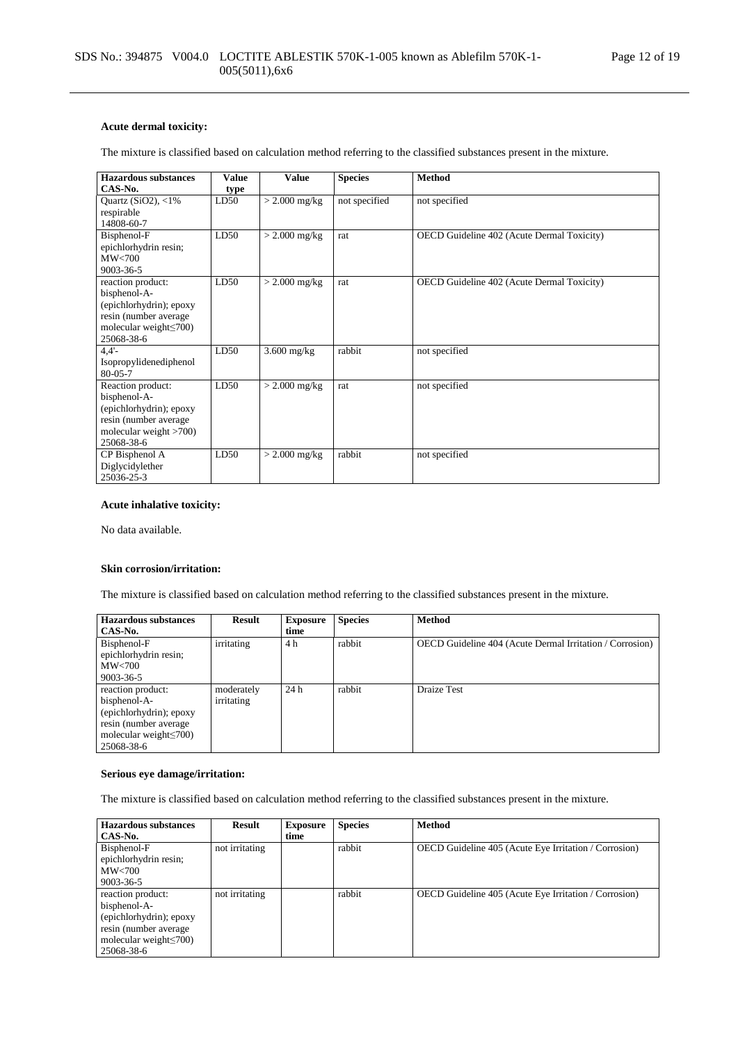### **Acute dermal toxicity:**

The mixture is classified based on calculation method referring to the classified substances present in the mixture.

| Hazardous substances          | <b>Value</b> | <b>Value</b>    | <b>Species</b> | <b>Method</b>                              |
|-------------------------------|--------------|-----------------|----------------|--------------------------------------------|
| CAS-No.                       | type         |                 |                |                                            |
| Quartz (SiO2), $<$ 1%         | LD50         | $>$ 2.000 mg/kg | not specified  | not specified                              |
| respirable                    |              |                 |                |                                            |
| 14808-60-7                    |              |                 |                |                                            |
| Bisphenol-F                   | LD50         | $>$ 2.000 mg/kg | rat            | OECD Guideline 402 (Acute Dermal Toxicity) |
| epichlorhydrin resin;         |              |                 |                |                                            |
| MW<700                        |              |                 |                |                                            |
| 9003-36-5                     |              |                 |                |                                            |
| reaction product:             | LD50         | $>$ 2.000 mg/kg | rat            | OECD Guideline 402 (Acute Dermal Toxicity) |
| bisphenol-A-                  |              |                 |                |                                            |
| (epichlorhydrin); epoxy       |              |                 |                |                                            |
| resin (number average         |              |                 |                |                                            |
| molecular weight $\leq 700$ ) |              |                 |                |                                            |
| 25068-38-6                    |              |                 |                |                                            |
| 4.4'                          | LD50         | $3.600$ mg/kg   | rabbit         | not specified                              |
| Isopropylidenediphenol        |              |                 |                |                                            |
| 80-05-7                       |              |                 |                |                                            |
| Reaction product:             | LD50         | $>$ 2.000 mg/kg | rat            | not specified                              |
| bisphenol-A-                  |              |                 |                |                                            |
| (epichlorhydrin); epoxy       |              |                 |                |                                            |
| resin (number average         |              |                 |                |                                            |
| molecular weight $>700$ )     |              |                 |                |                                            |
| 25068-38-6                    |              |                 |                |                                            |
| CP Bisphenol A                | LD50         | $>$ 2.000 mg/kg | rabbit         | not specified                              |
| Diglycidylether               |              |                 |                |                                            |
| 25036-25-3                    |              |                 |                |                                            |

### **Acute inhalative toxicity:**

No data available.

#### **Skin corrosion/irritation:**

The mixture is classified based on calculation method referring to the classified substances present in the mixture.

| <b>Hazardous substances</b>   | Result     | <b>Exposure</b> | <b>Species</b> | <b>Method</b>                                            |
|-------------------------------|------------|-----------------|----------------|----------------------------------------------------------|
| CAS-No.                       |            | time            |                |                                                          |
| Bisphenol-F                   | irritating | 4 h             | rabbit         | OECD Guideline 404 (Acute Dermal Irritation / Corrosion) |
| epichlorhydrin resin;         |            |                 |                |                                                          |
| MW<700                        |            |                 |                |                                                          |
| $9003 - 36 - 5$               |            |                 |                |                                                          |
| reaction product:             | moderately | 24h             | rabbit         | <b>Draize Test</b>                                       |
| bisphenol-A-                  | irritating |                 |                |                                                          |
| (epichlorhydrin); epoxy       |            |                 |                |                                                          |
| resin (number average)        |            |                 |                |                                                          |
| molecular weight $\leq 700$ ) |            |                 |                |                                                          |
| 25068-38-6                    |            |                 |                |                                                          |

### **Serious eye damage/irritation:**

The mixture is classified based on calculation method referring to the classified substances present in the mixture.

| <b>Hazardous substances</b>  | Result         | <b>Exposure</b> | <b>Species</b> | <b>Method</b>                                         |
|------------------------------|----------------|-----------------|----------------|-------------------------------------------------------|
| CAS-No.                      |                | time            |                |                                                       |
| Bisphenol-F                  | not irritating |                 | rabbit         | OECD Guideline 405 (Acute Eye Irritation / Corrosion) |
| epichlorhydrin resin;        |                |                 |                |                                                       |
| MW<700                       |                |                 |                |                                                       |
| $9003 - 36 - 5$              |                |                 |                |                                                       |
| reaction product:            | not irritating |                 | rabbit         | OECD Guideline 405 (Acute Eye Irritation / Corrosion) |
| bisphenol-A-                 |                |                 |                |                                                       |
| (epichlorhydrin); epoxy      |                |                 |                |                                                       |
| resin (number average)       |                |                 |                |                                                       |
| molecular weight $\leq$ 700) |                |                 |                |                                                       |
| 25068-38-6                   |                |                 |                |                                                       |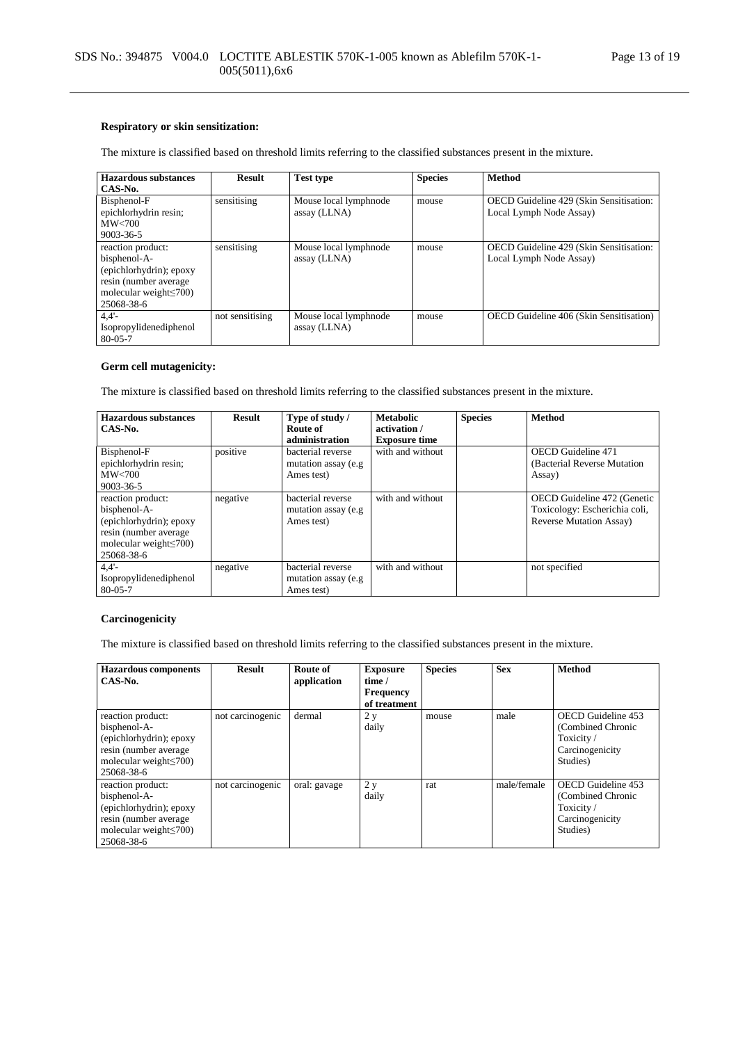### **Respiratory or skin sensitization:**

The mixture is classified based on threshold limits referring to the classified substances present in the mixture.

| <b>Hazardous substances</b>   | <b>Result</b>   | <b>Test type</b>      | <b>Species</b> | <b>Method</b>                           |
|-------------------------------|-----------------|-----------------------|----------------|-----------------------------------------|
| CAS-No.                       |                 |                       |                |                                         |
| Bisphenol-F                   | sensitising     | Mouse local lymphnode | mouse          | OECD Guideline 429 (Skin Sensitisation: |
| epichlorhydrin resin;         |                 | assay (LLNA)          |                | Local Lymph Node Assay)                 |
| MW<700                        |                 |                       |                |                                         |
| $9003 - 36 - 5$               |                 |                       |                |                                         |
| reaction product:             | sensitising     | Mouse local lymphnode | mouse          | OECD Guideline 429 (Skin Sensitisation: |
| bisphenol-A-                  |                 | assay (LLNA)          |                | Local Lymph Node Assay)                 |
| (epichlorhydrin); epoxy       |                 |                       |                |                                         |
| resin (number average)        |                 |                       |                |                                         |
| molecular weight $\leq 700$ ) |                 |                       |                |                                         |
| 25068-38-6                    |                 |                       |                |                                         |
| 4.4'                          | not sensitising | Mouse local lymphnode | mouse          | OECD Guideline 406 (Skin Sensitisation) |
| Isopropylidenediphenol        |                 | assay (LLNA)          |                |                                         |
| $80 - 05 - 7$                 |                 |                       |                |                                         |

### **Germ cell mutagenicity:**

The mixture is classified based on threshold limits referring to the classified substances present in the mixture.

| Hazardous substances<br>CAS-No.                                                                                                       | <b>Result</b> | Type of study /<br>Route of<br>administration           | <b>Metabolic</b><br>activation /<br><b>Exposure time</b> | <b>Species</b> | <b>Method</b>                                                                                   |
|---------------------------------------------------------------------------------------------------------------------------------------|---------------|---------------------------------------------------------|----------------------------------------------------------|----------------|-------------------------------------------------------------------------------------------------|
| Bisphenol-F<br>epichlorhydrin resin;<br>MW< 700<br>9003-36-5                                                                          | positive      | bacterial reverse<br>mutation assay (e.g.<br>Ames test) | with and without                                         |                | <b>OECD</b> Guideline 471<br>(Bacterial Reverse Mutation)<br>Assay)                             |
| reaction product:<br>bisphenol-A-<br>(epichlorhydrin); epoxy<br>resin (number average)<br>molecular weight $\leq 700$ )<br>25068-38-6 | negative      | hacterial reverse<br>mutation assay (e.g.<br>Ames test) | with and without                                         |                | OECD Guideline 472 (Genetic<br>Toxicology: Escherichia coli,<br><b>Reverse Mutation Assay</b> ) |
| 4.4'<br>Isopropylidenediphenol<br>$80 - 05 - 7$                                                                                       | negative      | bacterial reverse<br>mutation assay (e.g.<br>Ames test) | with and without                                         |                | not specified                                                                                   |

### **Carcinogenicity**

The mixture is classified based on threshold limits referring to the classified substances present in the mixture.

| <b>Hazardous</b> components   | <b>Result</b>    | Route of     | <b>Exposure</b>  | <b>Species</b> | <b>Sex</b>  | <b>Method</b>      |
|-------------------------------|------------------|--------------|------------------|----------------|-------------|--------------------|
| $CAS-N0$ .                    |                  | application  | time /           |                |             |                    |
|                               |                  |              | <b>Frequency</b> |                |             |                    |
|                               |                  |              | of treatment     |                |             |                    |
| reaction product:             | not carcinogenic | dermal       | 2 y              | mouse          | male        | OECD Guideline 453 |
| bisphenol-A-                  |                  |              | daily            |                |             | (Combined Chronic  |
| (epichlorhydrin); epoxy       |                  |              |                  |                |             | Toxicity/          |
| resin (number average)        |                  |              |                  |                |             | Carcinogenicity    |
| molecular weight $\leq 700$ ) |                  |              |                  |                |             | Studies)           |
| 25068-38-6                    |                  |              |                  |                |             |                    |
| reaction product:             | not carcinogenic | oral: gavage | 2 y              | rat            | male/female | OECD Guideline 453 |
| bisphenol-A-                  |                  |              | daily            |                |             | (Combined Chronic  |
| (epichlorhydrin); epoxy       |                  |              |                  |                |             | Toxicity/          |
| resin (number average)        |                  |              |                  |                |             | Carcinogenicity    |
| molecular weight $\leq 700$ ) |                  |              |                  |                |             | Studies)           |
| 25068-38-6                    |                  |              |                  |                |             |                    |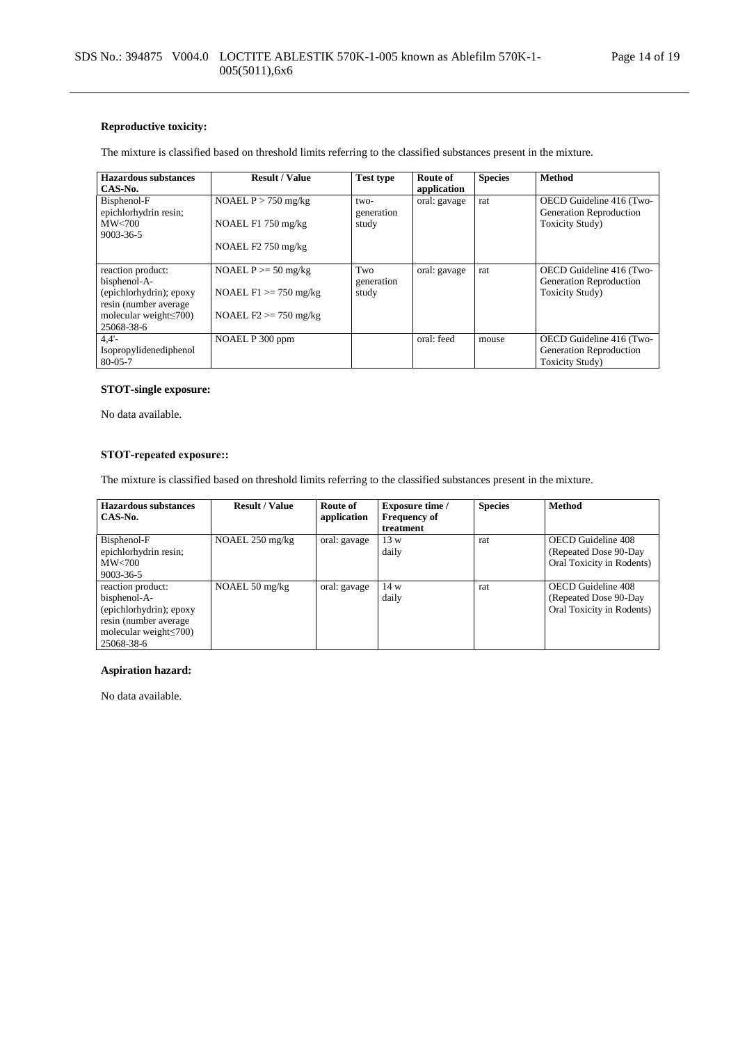### **Reproductive toxicity:**

The mixture is classified based on threshold limits referring to the classified substances present in the mixture.

| Hazardous substances                 | <b>Result / Value</b>    | <b>Test type</b>   | Route of     | <b>Species</b> | <b>Method</b>                                       |
|--------------------------------------|--------------------------|--------------------|--------------|----------------|-----------------------------------------------------|
| CAS-No.                              |                          |                    | application  |                |                                                     |
| Bisphenol-F<br>epichlorhydrin resin; | NOAEL $P > 750$ mg/kg    | two-<br>generation | oral: gavage | rat            | OECD Guideline 416 (Two-<br>Generation Reproduction |
| MW< 700                              | NOAEL $F1$ 750 mg/kg     | study              |              |                | <b>Toxicity Study</b> )                             |
| $9003 - 36 - 5$                      |                          |                    |              |                |                                                     |
|                                      | NOAEL $F2$ 750 mg/kg     |                    |              |                |                                                     |
|                                      |                          |                    |              |                |                                                     |
| reaction product:                    | NOAEL $P \ge 50$ mg/kg   | Two                | oral: gavage | rat            | OECD Guideline 416 (Two-                            |
| bisphenol-A-                         |                          | generation         |              |                | Generation Reproduction                             |
| (epichlorhydrin); epoxy              | NOAEL $F1 \ge 750$ mg/kg | study              |              |                | <b>Toxicity Study</b> )                             |
| resin (number average                |                          |                    |              |                |                                                     |
| molecular weight $\leq 700$ )        | NOAEL $F2 \ge 750$ mg/kg |                    |              |                |                                                     |
| 25068-38-6                           |                          |                    |              |                |                                                     |
| 4.4'                                 | NOAEL P 300 ppm          |                    | oral: feed   | mouse          | OECD Guideline 416 (Two-                            |
| Isopropylidenediphenol               |                          |                    |              |                | Generation Reproduction                             |
| $80 - 05 - 7$                        |                          |                    |              |                | <b>Toxicity Study</b> )                             |

### **STOT-single exposure:**

No data available.

### **STOT-repeated exposure::**

The mixture is classified based on threshold limits referring to the classified substances present in the mixture.

| Hazardous substances<br>CAS-No.                                                                                                       | <b>Result / Value</b>     | Route of<br>application | <b>Exposure time</b> /<br><b>Frequency of</b><br>treatment | <b>Species</b> | <b>Method</b>                                                             |
|---------------------------------------------------------------------------------------------------------------------------------------|---------------------------|-------------------------|------------------------------------------------------------|----------------|---------------------------------------------------------------------------|
| Bisphenol-F<br>epichlorhydrin resin;<br>MW<700<br>9003-36-5                                                                           | NOAEL $250 \text{ mg/kg}$ | oral: gavage            | 13 w<br>daily                                              | rat            | OECD Guideline 408<br>(Repeated Dose 90-Day)<br>Oral Toxicity in Rodents) |
| reaction product:<br>bisphenol-A-<br>(epichlorhydrin); epoxy<br>resin (number average)<br>molecular weight $\leq 700$ )<br>25068-38-6 | NOAEL 50 mg/kg            | oral: gavage            | 14 w<br>daily                                              | rat            | OECD Guideline 408<br>(Repeated Dose 90-Day)<br>Oral Toxicity in Rodents) |

### **Aspiration hazard:**

No data available.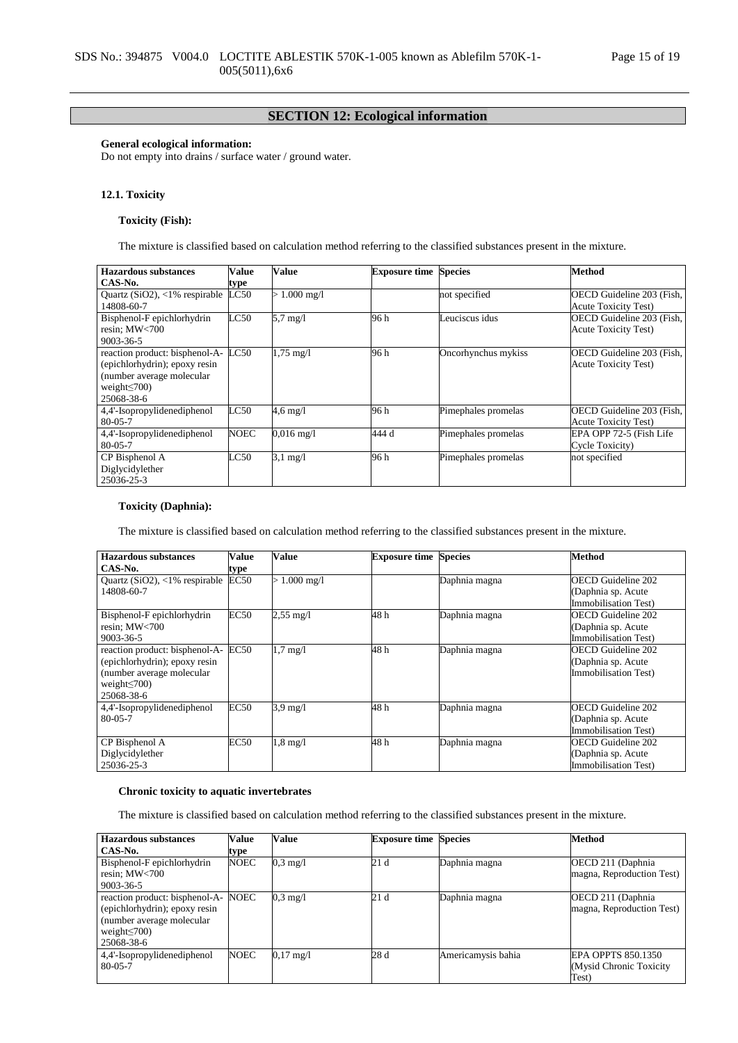## **SECTION 12: Ecological information**

### **General ecological information:**

Do not empty into drains / surface water / ground water.

### **12.1. Toxicity**

### **Toxicity (Fish):**

The mixture is classified based on calculation method referring to the classified substances present in the mixture.

| Hazardous substances                   | Value         | Value                | <b>Exposure time Species</b> |                     | <b>Method</b>               |
|----------------------------------------|---------------|----------------------|------------------------------|---------------------|-----------------------------|
| CAS-No.                                | type          |                      |                              |                     |                             |
| Quartz ( $SiO2$ ), <1% respirable LC50 |               | $> 1.000$ mg/l       |                              | not specified       | OECD Guideline 203 (Fish,   |
| 14808-60-7                             |               |                      |                              |                     | <b>Acute Toxicity Test)</b> |
| Bisphenol-F epichlorhydrin             | $_{\rm LC50}$ | $5.7 \text{ mg}/l$   | 96 h                         | Leuciscus idus      | OECD Guideline 203 (Fish,   |
| resin: $MW<700$                        |               |                      |                              |                     | <b>Acute Toxicity Test)</b> |
| $9003 - 36 - 5$                        |               |                      |                              |                     |                             |
| reaction product: bisphenol-A-         | LC50          | $1,75 \text{ mg}/1$  | 96 h                         | Oncorhynchus mykiss | OECD Guideline 203 (Fish,   |
| (epichlorhydrin); epoxy resin          |               |                      |                              |                     | <b>Acute Toxicity Test)</b> |
| (number average molecular              |               |                      |                              |                     |                             |
| weight $\leq$ 700)                     |               |                      |                              |                     |                             |
| 25068-38-6                             |               |                      |                              |                     |                             |
| 4,4'-Isopropylidenediphenol            | LC50          | $4.6 \text{ mg}/l$   | 96 h                         | Pimephales promelas | OECD Guideline 203 (Fish,   |
| $80 - 05 - 7$                          |               |                      |                              |                     | <b>Acute Toxicity Test)</b> |
| 4,4'-Isopropylidenediphenol            | <b>NOEC</b>   | $0.016 \text{ mg}/1$ | 444 d                        | Pimephales promelas | EPA OPP 72-5 (Fish Life     |
| $80 - 05 - 7$                          |               |                      |                              |                     | Cycle Toxicity)             |
| CP Bisphenol A                         | LC50          | $3.1 \text{ mg}/1$   | 96 h                         | Pimephales promelas | not specified               |
| Diglycidylether                        |               |                      |                              |                     |                             |
| 25036-25-3                             |               |                      |                              |                     |                             |

### **Toxicity (Daphnia):**

The mixture is classified based on calculation method referring to the classified substances present in the mixture.

| <b>Hazardous substances</b>      | Value       | Value               | <b>Exposure time Species</b> |               | Method                      |
|----------------------------------|-------------|---------------------|------------------------------|---------------|-----------------------------|
| CAS-No.                          | type        |                     |                              |               |                             |
| Quartz $(SiO2)$ , <1% respirable | EC50        | $> 1.000$ mg/l      |                              | Daphnia magna | OECD Guideline 202          |
| 14808-60-7                       |             |                     |                              |               | (Daphnia sp. Acute          |
|                                  |             |                     |                              |               | <b>Immobilisation Test)</b> |
| Bisphenol-F epichlorhydrin       | EC50        | $2,55 \text{ mg}/1$ | 48 h                         | Daphnia magna | OECD Guideline 202          |
| resin; MW<700                    |             |                     |                              |               | (Daphnia sp. Acute          |
| 9003-36-5                        |             |                     |                              |               | Immobilisation Test)        |
| reaction product: bisphenol-A-   | EC50        | $1,7$ mg/l          | 48h                          | Daphnia magna | <b>OECD Guideline 202</b>   |
| (epichlorhydrin); epoxy resin    |             |                     |                              |               | (Daphnia sp. Acute          |
| (number average molecular        |             |                     |                              |               | <b>Immobilisation Test)</b> |
| weight $\leq$ 700)               |             |                     |                              |               |                             |
| 25068-38-6                       |             |                     |                              |               |                             |
| 4,4'-Isopropylidenediphenol      | <b>EC50</b> | $3.9 \text{ mg}/1$  | 48h                          | Daphnia magna | OECD Guideline 202          |
| $80 - 05 - 7$                    |             |                     |                              |               | (Daphnia sp. Acute          |
|                                  |             |                     |                              |               | Immobilisation Test)        |
| CP Bisphenol A                   | EC50        | $1,8 \text{ mg}/1$  | 48 h                         | Daphnia magna | OECD Guideline 202          |
| Diglycidylether                  |             |                     |                              |               | (Daphnia sp. Acute          |
| 25036-25-3                       |             |                     |                              |               | <b>Immobilisation Test)</b> |

### **Chronic toxicity to aquatic invertebrates**

The mixture is classified based on calculation method referring to the classified substances present in the mixture.

| <b>Hazardous substances</b>    | <b>Value</b> | Value               | <b>Exposure time Species</b> |                    | <b>Method</b>             |
|--------------------------------|--------------|---------------------|------------------------------|--------------------|---------------------------|
| CAS-No.                        | type         |                     |                              |                    |                           |
| Bisphenol-F epichlorhydrin     | <b>NOEC</b>  | $0.3 \text{ mg}/1$  | 21d                          | Daphnia magna      | OECD 211 (Daphnia         |
| resin; $MW<700$                |              |                     |                              |                    | magna, Reproduction Test) |
| $9003 - 36 - 5$                |              |                     |                              |                    |                           |
| reaction product: bisphenol-A- | <b>NOEC</b>  | $0.3 \text{ mg}/1$  | 21d                          | Daphnia magna      | OECD 211 (Daphnia)        |
| (epichlorhydrin); epoxy resin  |              |                     |                              |                    | magna, Reproduction Test) |
| (number average molecular)     |              |                     |                              |                    |                           |
| weight $\leq$ 700)             |              |                     |                              |                    |                           |
| 25068-38-6                     |              |                     |                              |                    |                           |
| 4,4'-Isopropylidenediphenol    | <b>NOEC</b>  | $0.17 \text{ mg}/1$ | 28d                          | Americamysis bahia | EPA OPPTS 850.1350        |
| $80 - 05 - 7$                  |              |                     |                              |                    | (Mysid Chronic Toxicity   |
|                                |              |                     |                              |                    | Test)                     |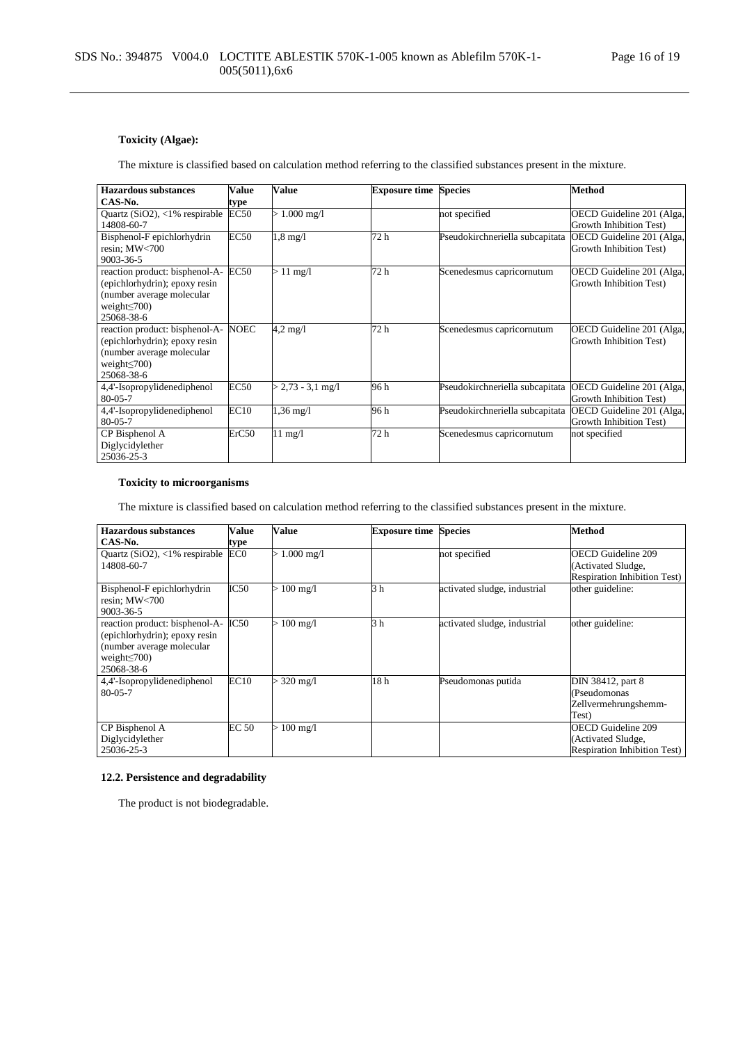## **Toxicity (Algae):**

The mixture is classified based on calculation method referring to the classified substances present in the mixture.

| <b>Hazardous substances</b>      | Value            | Value               | <b>Exposure time Species</b> |                                 | <b>Method</b>             |
|----------------------------------|------------------|---------------------|------------------------------|---------------------------------|---------------------------|
| CAS-No.                          | type             |                     |                              |                                 |                           |
| Quartz $(SiO2)$ , <1% respirable | EC <sub>50</sub> | $> 1.000$ mg/l      |                              | not specified                   | OECD Guideline 201 (Alga, |
| 14808-60-7                       |                  |                     |                              |                                 | Growth Inhibition Test)   |
| Bisphenol-F epichlorhydrin       | <b>EC50</b>      | $1,8 \text{ mg}/1$  | 72 h                         | Pseudokirchneriella subcapitata | OECD Guideline 201 (Alga, |
| resin; MW<700                    |                  |                     |                              |                                 | Growth Inhibition Test)   |
| 9003-36-5                        |                  |                     |                              |                                 |                           |
| reaction product: bisphenol-A-   | <b>EC50</b>      | $>11 \text{ mg/l}$  | 72 h                         | Scenedesmus capricornutum       | OECD Guideline 201 (Alga, |
| (epichlorhydrin); epoxy resin    |                  |                     |                              |                                 | Growth Inhibition Test)   |
| (number average molecular        |                  |                     |                              |                                 |                           |
| weight $\leq$ 700)               |                  |                     |                              |                                 |                           |
| 25068-38-6                       |                  |                     |                              |                                 |                           |
| reaction product: bisphenol-A-   | NOEC             | $4.2 \text{ mg}/1$  | 72 h                         | Scenedesmus capricornutum       | OECD Guideline 201 (Alga, |
| (epichlorhydrin); epoxy resin    |                  |                     |                              |                                 | Growth Inhibition Test)   |
| (number average molecular        |                  |                     |                              |                                 |                           |
| weight $\leq$ 700)               |                  |                     |                              |                                 |                           |
| 25068-38-6                       |                  |                     |                              |                                 |                           |
| 4,4'-Isopropylidenediphenol      | EC50             | $> 2.73 - 3.1$ mg/l | 96 h                         | Pseudokirchneriella subcapitata | OECD Guideline 201 (Alga, |
| $80 - 05 - 7$                    |                  |                     |                              |                                 | Growth Inhibition Test)   |
| 4,4'-Isopropylidenediphenol      | EC10             | $1,36 \text{ mg}/1$ | 96 h                         | Pseudokirchneriella subcapitata | OECD Guideline 201 (Alga, |
| $80 - 05 - 7$                    |                  |                     |                              |                                 | Growth Inhibition Test)   |
| CP Bisphenol A                   | ErC50            | $11 \text{ mg}/1$   | 72 h                         | Scenedesmus capricornutum       | not specified             |
| Diglycidylether                  |                  |                     |                              |                                 |                           |
| 25036-25-3                       |                  |                     |                              |                                 |                           |

### **Toxicity to microorganisms**

The mixture is classified based on calculation method referring to the classified substances present in the mixture.

| <b>Hazardous substances</b>       | Value           | Value              | <b>Exposure time Species</b> |                              | <b>Method</b>                       |
|-----------------------------------|-----------------|--------------------|------------------------------|------------------------------|-------------------------------------|
| CAS-No.                           | type            |                    |                              |                              |                                     |
| Quartz ( $SiO2$ ), <1% respirable | EC <sub>0</sub> | $> 1.000$ mg/l     |                              | not specified                | OECD Guideline 209                  |
| 14808-60-7                        |                 |                    |                              |                              | (Activated Sludge,                  |
|                                   |                 |                    |                              |                              | <b>Respiration Inhibition Test)</b> |
| Bisphenol-F epichlorhydrin        | IC50            | $> 100$ mg/l       | 3 h                          | activated sludge, industrial | other guideline:                    |
| resin; MW<700                     |                 |                    |                              |                              |                                     |
| 9003-36-5                         |                 |                    |                              |                              |                                     |
| reaction product: bisphenol-A-    | IC50            | $> 100$ mg/l       | 3h                           | activated sludge, industrial | other guideline:                    |
| (epichlorhydrin); epoxy resin     |                 |                    |                              |                              |                                     |
| (number average molecular         |                 |                    |                              |                              |                                     |
| weight $\leq$ 700)                |                 |                    |                              |                              |                                     |
| 25068-38-6                        |                 |                    |                              |                              |                                     |
| 4,4'-Isopropylidenediphenol       | EC10            | $320 \text{ mg/l}$ | 18 <sub>h</sub>              | Pseudomonas putida           | DIN 38412, part 8                   |
| $80 - 05 - 7$                     |                 |                    |                              |                              | (Pseudomonas                        |
|                                   |                 |                    |                              |                              | Zellvermehrungshemm-                |
|                                   |                 |                    |                              |                              | Test)                               |
| CP Bisphenol A                    | <b>EC 50</b>    | $> 100$ mg/l       |                              |                              | OECD Guideline 209                  |
| Diglycidylether                   |                 |                    |                              |                              | (Activated Sludge,                  |
| 25036-25-3                        |                 |                    |                              |                              | <b>Respiration Inhibition Test)</b> |

### **12.2. Persistence and degradability**

The product is not biodegradable.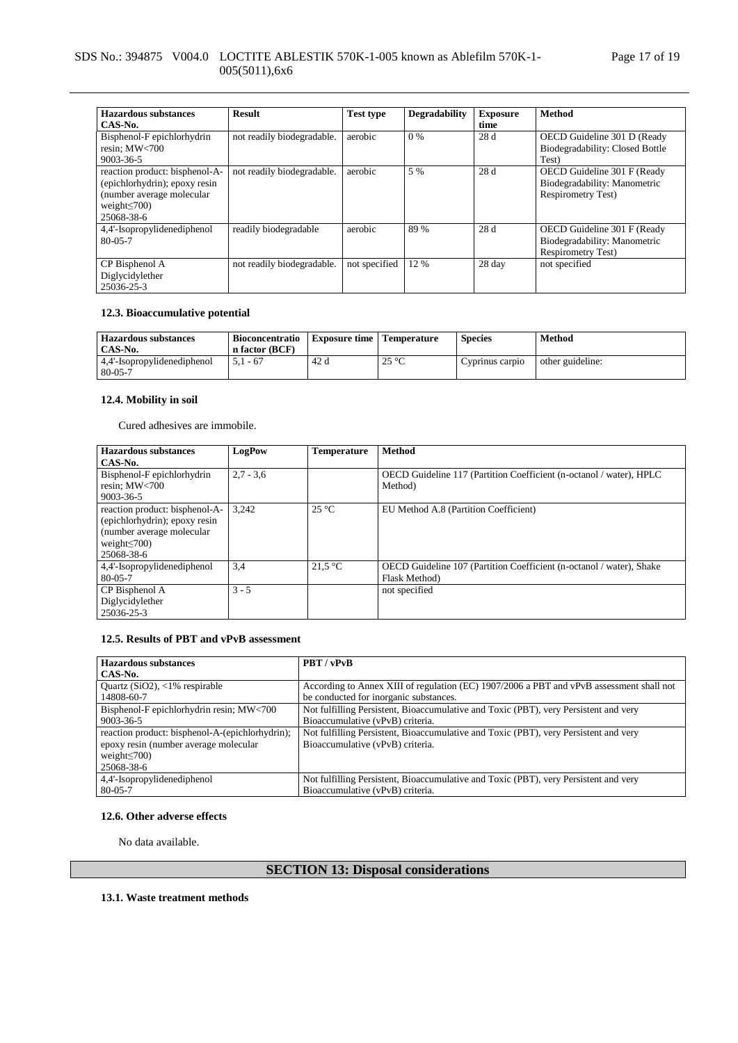## SDS No.: 394875 V004.0 LOCTITE ABLESTIK 570K-1-005 known as Ablefilm 570K-1- 005(5011),6x6

| <b>Hazardous</b> substances<br>CAS-No.                                                                                           | <b>Result</b>              | <b>Test type</b> | <b>Degradability</b> | <b>Exposure</b><br>time | <b>Method</b>                                                                            |
|----------------------------------------------------------------------------------------------------------------------------------|----------------------------|------------------|----------------------|-------------------------|------------------------------------------------------------------------------------------|
| Bisphenol-F epichlorhydrin<br>resin: $MW<700$<br>$9003 - 36 - 5$                                                                 | not readily biodegradable. | aerobic          | $0\%$                | 28 d                    | OECD Guideline 301 D (Ready<br>Biodegradability: Closed Bottle<br>Test)                  |
| reaction product: bisphenol-A-<br>(epichlorhydrin); epoxy resin<br>(number average molecular<br>weight $\leq$ 700)<br>25068-38-6 | not readily biodegradable. | aerobic          | 5 %                  | 28d                     | OECD Guideline 301 F (Ready<br>Biodegradability: Manometric<br><b>Respirometry Test)</b> |
| 4,4'-Isopropylidenediphenol<br>$80 - 0.5 - 7$                                                                                    | readily biodegradable      | aerobic          | 89 %                 | 28d                     | OECD Guideline 301 F (Ready<br>Biodegradability: Manometric<br><b>Respirometry Test)</b> |
| CP Bisphenol A<br>Diglycidylether<br>25036-25-3                                                                                  | not readily biodegradable. | not specified    | 12 %                 | 28 day                  | not specified                                                                            |

### **12.3. Bioaccumulative potential**

| Hazardous substances<br>CAS-No.        | Bioconcentratio<br>n factor (BCF) | <b>Exposure time</b> | <b>Temperature</b> | <b>Species</b>  | Method           |
|----------------------------------------|-----------------------------------|----------------------|--------------------|-----------------|------------------|
| 4,4'-Isopropylidenediphenol<br>80-05-7 | $5.1 - 67$                        | 42 d                 | $25^{\circ}$<br>رے | Cyprinus carpio | other guideline: |

## **12.4. Mobility in soil**

Cured adhesives are immobile.

| <b>Hazardous substances</b>                                                                                                       | LogPow      | <b>Temperature</b> | <b>Method</b>                                                                         |
|-----------------------------------------------------------------------------------------------------------------------------------|-------------|--------------------|---------------------------------------------------------------------------------------|
| CAS-No.                                                                                                                           |             |                    |                                                                                       |
| Bisphenol-F epichlorhydrin<br>resin: $MW<700$<br>$9003 - 36 - 5$                                                                  | $2.7 - 3.6$ |                    | OECD Guideline 117 (Partition Coefficient (n-octanol / water), HPLC<br>Method)        |
| reaction product: bisphenol-A-<br>(epichlorhydrin); epoxy resin<br>(number average molecular)<br>weight $\leq$ 700)<br>25068-38-6 | 3.242       | $25^{\circ}$ C     | EU Method A.8 (Partition Coefficient)                                                 |
| 4,4'-Isopropylidenediphenol<br>$80 - 05 - 7$                                                                                      | 3,4         | 21.5 °C            | OECD Guideline 107 (Partition Coefficient (n-octanol / water), Shake<br>Flask Method) |
| CP Bisphenol A<br>Diglycidylether<br>25036-25-3                                                                                   | $3 - 5$     |                    | not specified                                                                         |

### **12.5. Results of PBT and vPvB assessment**

| <b>Hazardous substances</b>                     | PBT / vPvB                                                                               |
|-------------------------------------------------|------------------------------------------------------------------------------------------|
| CAS-No.                                         |                                                                                          |
| Quartz $(SiO2)$ , <1% respirable                | According to Annex XIII of regulation (EC) 1907/2006 a PBT and vPvB assessment shall not |
| 14808-60-7                                      | be conducted for inorganic substances.                                                   |
| Bisphenol-F epichlorhydrin resin; MW<700        | Not fulfilling Persistent, Bioaccumulative and Toxic (PBT), very Persistent and very     |
| 9003-36-5                                       | Bioaccumulative (vPvB) criteria.                                                         |
| reaction product: bisphenol-A-(epichlorhydrin); | Not fulfilling Persistent, Bioaccumulative and Toxic (PBT), very Persistent and very     |
| epoxy resin (number average molecular           | Bioaccumulative (vPvB) criteria.                                                         |
| weight $\leq$ 700)                              |                                                                                          |
| 25068-38-6                                      |                                                                                          |
| 4,4'-Isopropylidenediphenol                     | Not fulfilling Persistent, Bioaccumulative and Toxic (PBT), very Persistent and very     |
| $80 - 05 - 7$                                   | Bioaccumulative (vPvB) criteria.                                                         |

### **12.6. Other adverse effects**

No data available.

# **SECTION 13: Disposal considerations**

**13.1. Waste treatment methods**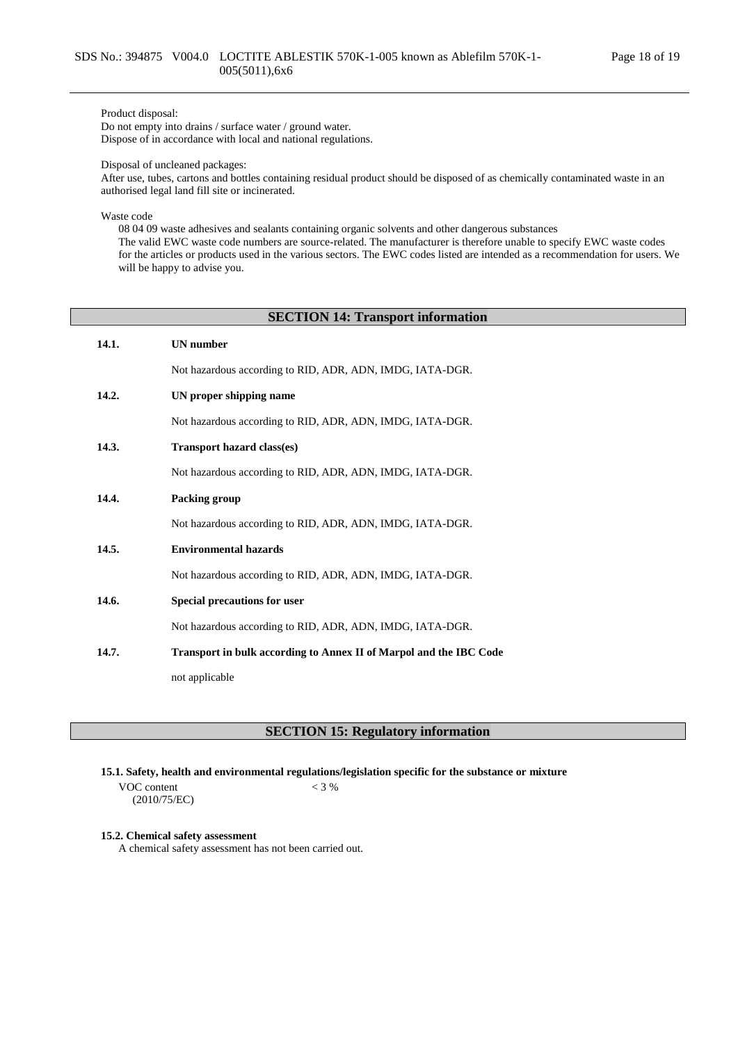### Product disposal:

Do not empty into drains / surface water / ground water. Dispose of in accordance with local and national regulations.

Disposal of uncleaned packages:

After use, tubes, cartons and bottles containing residual product should be disposed of as chemically contaminated waste in an authorised legal land fill site or incinerated.

Waste code

08 04 09 waste adhesives and sealants containing organic solvents and other dangerous substances The valid EWC waste code numbers are source-related. The manufacturer is therefore unable to specify EWC waste codes for the articles or products used in the various sectors. The EWC codes listed are intended as a recommendation for users. We will be happy to advise you.

### **SECTION 14: Transport information**

| 14.1. | <b>UN</b> number                                                   |
|-------|--------------------------------------------------------------------|
|       | Not hazardous according to RID, ADR, ADN, IMDG, IATA-DGR.          |
| 14.2. | UN proper shipping name                                            |
|       | Not hazardous according to RID, ADR, ADN, IMDG, IATA-DGR.          |
| 14.3. | <b>Transport hazard class(es)</b>                                  |
|       | Not hazardous according to RID, ADR, ADN, IMDG, IATA-DGR.          |
| 14.4. | Packing group                                                      |
|       | Not hazardous according to RID, ADR, ADN, IMDG, IATA-DGR.          |
| 14.5. | <b>Environmental hazards</b>                                       |
|       | Not hazardous according to RID, ADR, ADN, IMDG, IATA-DGR.          |
| 14.6. | Special precautions for user                                       |
|       | Not hazardous according to RID, ADR, ADN, IMDG, IATA-DGR.          |
| 14.7. | Transport in bulk according to Annex II of Marpol and the IBC Code |
|       | not applicable                                                     |

**SECTION 15: Regulatory information**

**15.1. Safety, health and environmental regulations/legislation specific for the substance or mixture**

VOC content (2010/75/EC)  $< 3 %$ 

#### **15.2. Chemical safety assessment**

A chemical safety assessment has not been carried out.